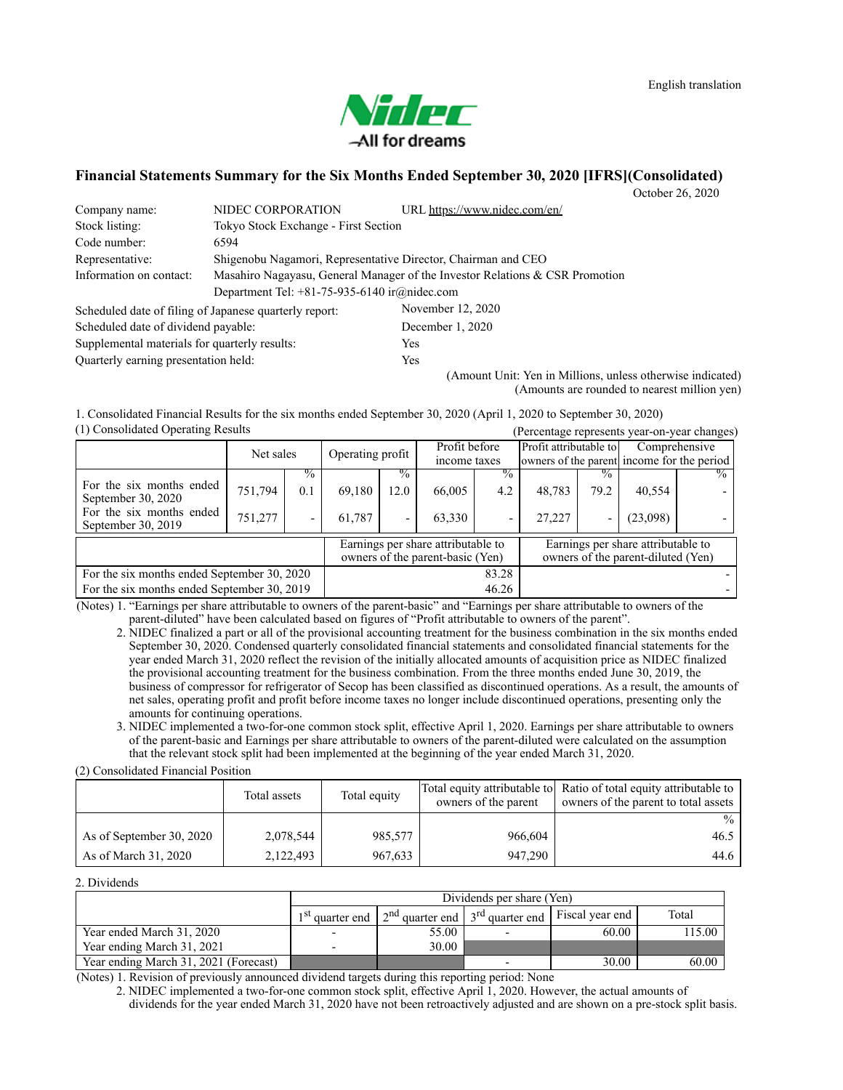# Yaler -All for dreams

### **Financial Statements Summary for the Six Months Ended September 30, 2020 [IFRS](Consolidated)**

October 26, 2020

| Company name:                                          | NIDEC CORPORATION                                 | URL https://www.nidec.com/en/                                                |  |  |  |
|--------------------------------------------------------|---------------------------------------------------|------------------------------------------------------------------------------|--|--|--|
| Stock listing:                                         | Tokyo Stock Exchange - First Section              |                                                                              |  |  |  |
| Code number:                                           | 6594                                              |                                                                              |  |  |  |
| Representative:                                        |                                                   | Shigenobu Nagamori, Representative Director, Chairman and CEO                |  |  |  |
| Information on contact:                                |                                                   | Masahiro Nagayasu, General Manager of the Investor Relations & CSR Promotion |  |  |  |
|                                                        | Department Tel: $+81-75-935-6140$ ir $@nidec.com$ |                                                                              |  |  |  |
| Scheduled date of filing of Japanese quarterly report: |                                                   | November 12, 2020                                                            |  |  |  |
| Scheduled date of dividend payable:                    |                                                   | December 1, 2020                                                             |  |  |  |
| Supplemental materials for quarterly results:          |                                                   | Yes                                                                          |  |  |  |
| Quarterly earning presentation held:                   |                                                   | Yes                                                                          |  |  |  |

(Amount Unit: Yen in Millions, unless otherwise indicated) (Amounts are rounded to nearest million yen)

(1) Consolidated Operating Results (Percentage represents year-on-year changes) 1. Consolidated Financial Results for the six months ended September 30, 2020 (April 1, 2020 to September 30, 2020)

| $(1)$ components operating respective          |           |               |                  |       |                                                                        | T Creentage represents year-on-year enanges |                                                                      |                          |                                                                          |               |
|------------------------------------------------|-----------|---------------|------------------|-------|------------------------------------------------------------------------|---------------------------------------------|----------------------------------------------------------------------|--------------------------|--------------------------------------------------------------------------|---------------|
|                                                | Net sales |               | Operating profit |       | Profit before<br>income taxes                                          |                                             | Profit attributable to<br>owners of the parent income for the period |                          | Comprehensive                                                            |               |
|                                                |           |               |                  |       |                                                                        |                                             |                                                                      |                          |                                                                          |               |
|                                                |           | $\frac{6}{6}$ |                  | $\%$  |                                                                        |                                             |                                                                      | $\frac{0}{0}$            |                                                                          | $\frac{0}{2}$ |
| For the six months ended<br>September 30, 2020 | 751,794   | 0.1           | 69,180           | 12.0  | 66,005                                                                 | 4.2                                         | 48.783                                                               | 79.2                     | 40,554                                                                   |               |
| For the six months ended<br>September 30, 2019 | 751,277   |               | 61,787           |       | 63.330                                                                 | -                                           | 27,227                                                               | $\overline{\phantom{a}}$ | (23,098)                                                                 |               |
|                                                |           |               |                  |       | Earnings per share attributable to<br>owners of the parent-basic (Yen) |                                             |                                                                      |                          | Earnings per share attributable to<br>owners of the parent-diluted (Yen) |               |
| For the six months ended September 30, 2020    |           |               |                  | 83.28 |                                                                        |                                             |                                                                      |                          |                                                                          |               |
| For the six months ended September 30, 2019    |           |               |                  |       |                                                                        | 46.26                                       |                                                                      |                          |                                                                          |               |

(Notes) 1. "Earnings per share attributable to owners of the parent-basic" and "Earnings per share attributable to owners of the parent-diluted" have been calculated based on figures of "Profit attributable to owners of the parent".

2. NIDEC finalized a part or all of the provisional accounting treatment for the business combination in the six months ended September 30, 2020. Condensed quarterly consolidated financial statements and consolidated financial statements for the year ended March 31, 2020 reflect the revision of the initially allocated amounts of acquisition price as NIDEC finalized the provisional accounting treatment for the business combination. From the three months ended June 30, 2019, the business of compressor for refrigerator of Secop has been classified as discontinued operations. As a result, the amounts of net sales, operating profit and profit before income taxes no longer include discontinued operations, presenting only the amounts for continuing operations.

3. NIDEC implemented a two-for-one common stock split, effective April 1, 2020. Earnings per share attributable to owners of the parent-basic and Earnings per share attributable to owners of the parent-diluted were calculated on the assumption that the relevant stock split had been implemented at the beginning of the year ended March 31, 2020.

(2) Consolidated Financial Position

|                          | Total assets | Total equity | owners of the parent | Total equity attributable to Ratio of total equity attributable to<br>owners of the parent to total assets |
|--------------------------|--------------|--------------|----------------------|------------------------------------------------------------------------------------------------------------|
|                          |              |              |                      | $\%$                                                                                                       |
| As of September 30, 2020 | 2,078,544    | 985,577      | 966,604              | 46.5                                                                                                       |
| As of March 31, 2020     | 2,122,493    | 967,633      | 947,290              | 44.6                                                                                                       |

2. Dividends

|                                       | Dividends per share (Yen)   |       |                                     |                 |        |  |  |
|---------------------------------------|-----------------------------|-------|-------------------------------------|-----------------|--------|--|--|
|                                       | 1 <sup>st</sup> quarter end |       | $2nd$ quarter end $3rd$ quarter end | Fiscal year end | Total  |  |  |
| Year ended March 31, 2020             |                             | 55.00 |                                     | 60.00           | 115.00 |  |  |
| Year ending March 31, 2021            |                             | 30.00 |                                     |                 |        |  |  |
| Year ending March 31, 2021 (Forecast) |                             |       |                                     | 30.00           | 60.00  |  |  |

(Notes) 1. Revision of previously announced dividend targets during this reporting period: None

2. NIDEC implemented a two-for-one common stock split, effective April 1, 2020. However, the actual amounts of dividends for the year ended March 31, 2020 have not been retroactively adjusted and are shown on a pre-stock split basis.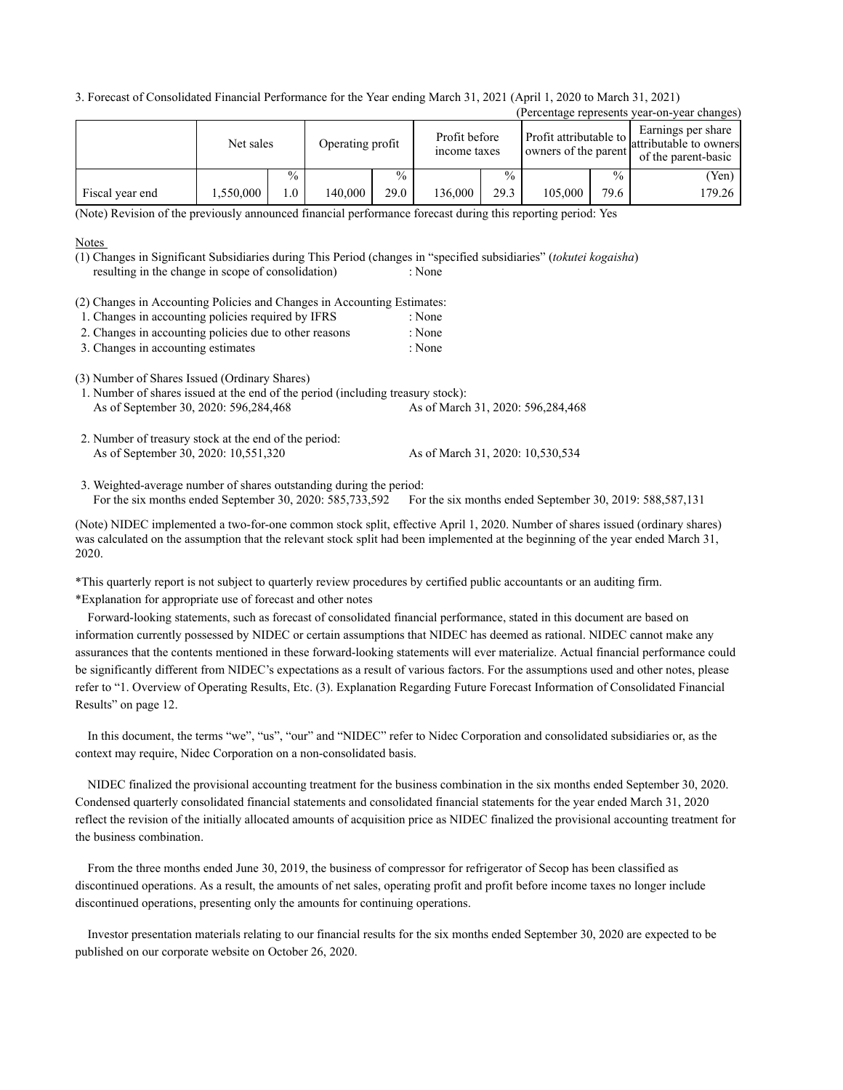3. Forecast of Consolidated Financial Performance for the Year ending March 31, 2021 (April 1, 2020 to March 31, 2021)

|                                                                                                                                                                                                                                                                                                                                                                                     |           |               |                  |               |                                                                       |               |                                                |               | (Percentage represents year-on-year changes)                        |
|-------------------------------------------------------------------------------------------------------------------------------------------------------------------------------------------------------------------------------------------------------------------------------------------------------------------------------------------------------------------------------------|-----------|---------------|------------------|---------------|-----------------------------------------------------------------------|---------------|------------------------------------------------|---------------|---------------------------------------------------------------------|
|                                                                                                                                                                                                                                                                                                                                                                                     | Net sales |               | Operating profit |               | Profit before<br>income taxes                                         |               | Profit attributable to<br>owners of the parent |               | Earnings per share<br>attributable to owners<br>of the parent-basic |
|                                                                                                                                                                                                                                                                                                                                                                                     |           | $\frac{0}{0}$ |                  | $\frac{0}{0}$ |                                                                       | $\frac{0}{0}$ |                                                | $\frac{0}{0}$ | (Yen)                                                               |
| Fiscal year end                                                                                                                                                                                                                                                                                                                                                                     | 1,550,000 | 1.0           | 140,000          | 29.0          | 136,000                                                               | 29.3          | 105,000                                        | 79.6          | 179.26                                                              |
| (Note) Revision of the previously announced financial performance forecast during this reporting period: Yes                                                                                                                                                                                                                                                                        |           |               |                  |               |                                                                       |               |                                                |               |                                                                     |
| <b>Notes</b><br>(1) Changes in Significant Subsidiaries during This Period (changes in "specified subsidiaries" (tokutei kogaisha)<br>resulting in the change in scope of consolidation)<br>(2) Changes in Accounting Policies and Changes in Accounting Estimates:<br>1. Changes in accounting policies required by IFRS<br>2. Changes in accounting policies due to other reasons |           |               |                  |               | : None<br>: None<br>: None                                            |               |                                                |               |                                                                     |
| 3. Changes in accounting estimates                                                                                                                                                                                                                                                                                                                                                  |           |               |                  |               | : None                                                                |               |                                                |               |                                                                     |
| (3) Number of Shares Issued (Ordinary Shares)<br>1. Number of shares issued at the end of the period (including treasury stock):<br>As of September 30, 2020: 596,284,468<br>2. Number of treasury stock at the end of the period:<br>As of September 30, 2020: 10,551,320                                                                                                          |           |               |                  |               | As of March 31, 2020: 596,284,468<br>As of March 31, 2020: 10,530,534 |               |                                                |               |                                                                     |

For the six months ended September 30, 2020: 585,733,592 For the six months ended September 30, 2019: 588,587,131 3. Weighted-average number of shares outstanding during the period:

(Note) NIDEC implemented a two-for-one common stock split, effective April 1, 2020. Number of shares issued (ordinary shares) was calculated on the assumption that the relevant stock split had been implemented at the beginning of the year ended March 31, 2020.

\*This quarterly report is not subject to quarterly review procedures by certified public accountants or an auditing firm. \*Explanation for appropriate use of forecast and other notes

Forward-looking statements, such as forecast of consolidated financial performance, stated in this document are based on information currently possessed by NIDEC or certain assumptions that NIDEC has deemed as rational. NIDEC cannot make any assurances that the contents mentioned in these forward-looking statements will ever materialize. Actual financial performance could be significantly different from NIDEC's expectations as a result of various factors. For the assumptions used and other notes, please refer to "1. Overview of Operating Results, Etc. (3). Explanation Regarding Future Forecast Information of Consolidated Financial Results" on page 12.

In this document, the terms "we", "us", "our" and "NIDEC" refer to Nidec Corporation and consolidated subsidiaries or, as the context may require, Nidec Corporation on a non-consolidated basis.

NIDEC finalized the provisional accounting treatment for the business combination in the six months ended September 30, 2020. Condensed quarterly consolidated financial statements and consolidated financial statements for the year ended March 31, 2020 reflect the revision of the initially allocated amounts of acquisition price as NIDEC finalized the provisional accounting treatment for the business combination.

From the three months ended June 30, 2019, the business of compressor for refrigerator of Secop has been classified as discontinued operations. As a result, the amounts of net sales, operating profit and profit before income taxes no longer include discontinued operations, presenting only the amounts for continuing operations.

Investor presentation materials relating to our financial results for the six months ended September 30, 2020 are expected to be published on our corporate website on October 26, 2020.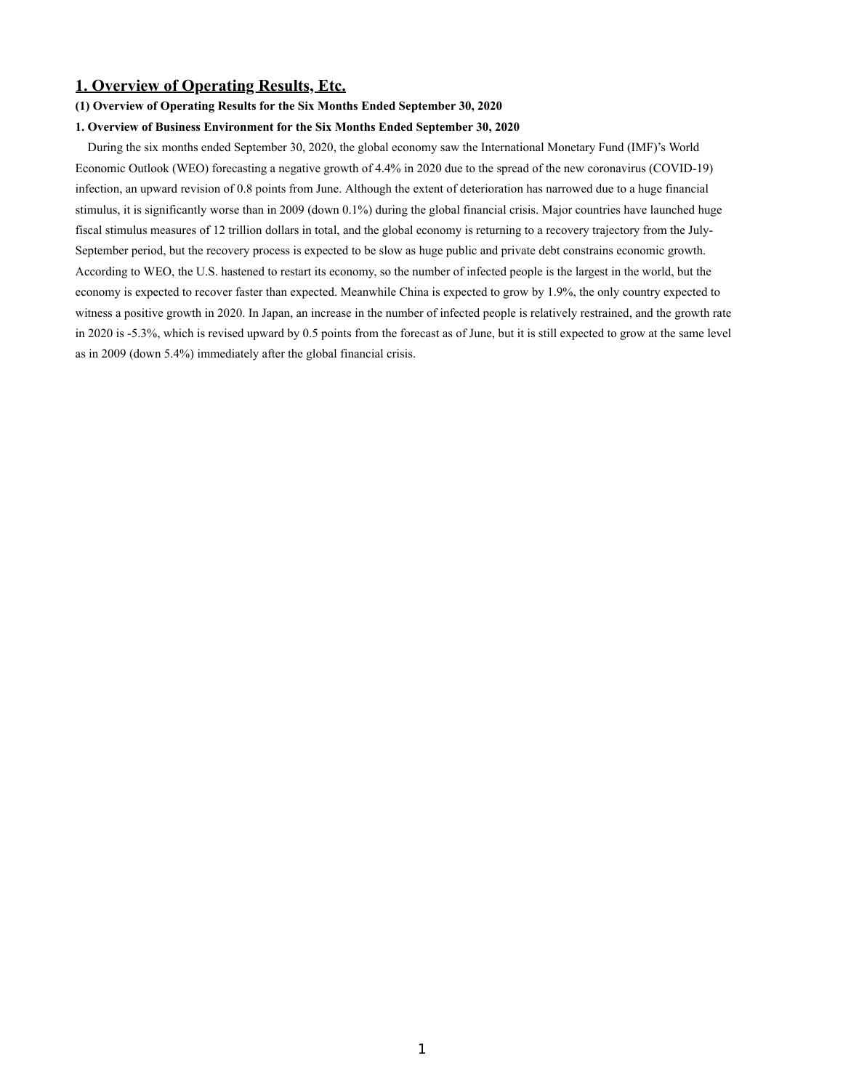# **1. Overview of Operating Results, Etc.**

### **(1) Overview of Operating Results for the Six Months Ended September 30, 2020**

### **1. Overview of Business Environment for the Six Months Ended September 30, 2020**

During the six months ended September 30, 2020, the global economy saw the International Monetary Fund (IMF)'s World Economic Outlook (WEO) forecasting a negative growth of 4.4% in 2020 due to the spread of the new coronavirus (COVID-19) infection, an upward revision of 0.8 points from June. Although the extent of deterioration has narrowed due to a huge financial stimulus, it is significantly worse than in 2009 (down 0.1%) during the global financial crisis. Major countries have launched huge fiscal stimulus measures of 12 trillion dollars in total, and the global economy is returning to a recovery trajectory from the July-September period, but the recovery process is expected to be slow as huge public and private debt constrains economic growth. According to WEO, the U.S. hastened to restart its economy, so the number of infected people is the largest in the world, but the economy is expected to recover faster than expected. Meanwhile China is expected to grow by 1.9%, the only country expected to witness a positive growth in 2020. In Japan, an increase in the number of infected people is relatively restrained, and the growth rate in 2020 is -5.3%, which is revised upward by 0.5 points from the forecast as of June, but it is still expected to grow at the same level as in 2009 (down 5.4%) immediately after the global financial crisis.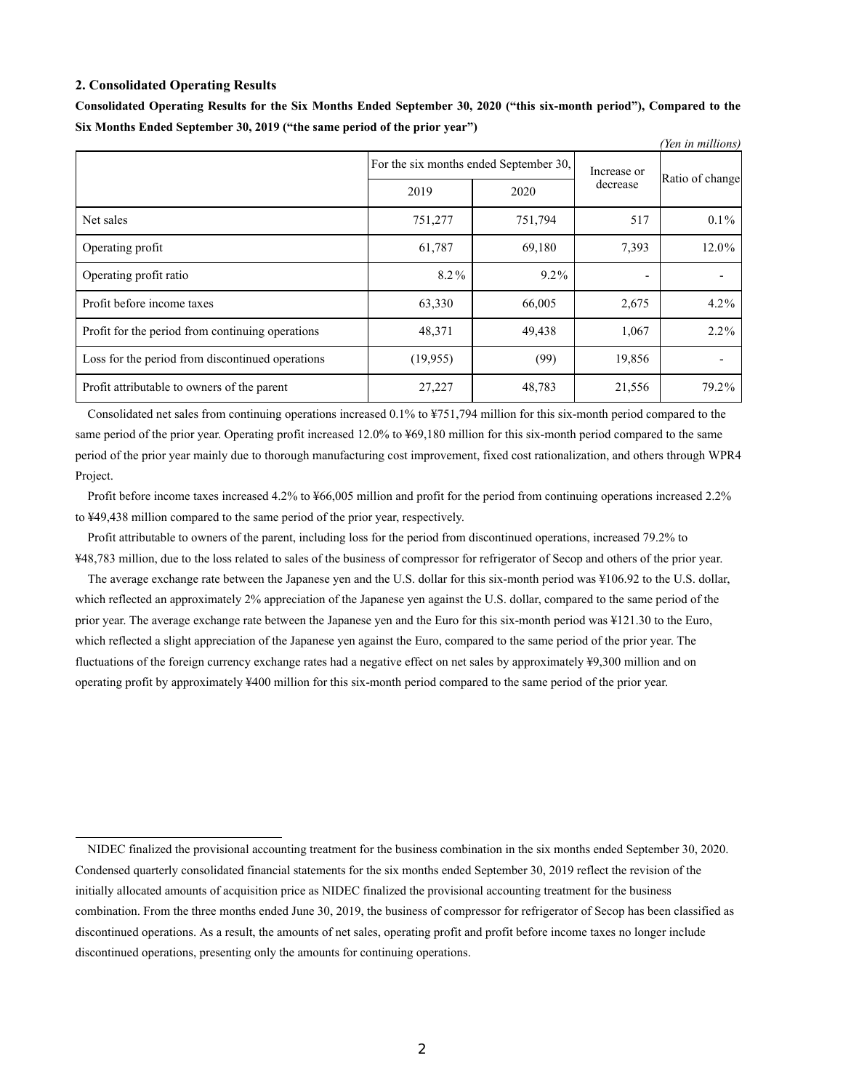### **2. Consolidated Operating Results**

|                                                  |                                        |         |                          | (Yen in millions) |
|--------------------------------------------------|----------------------------------------|---------|--------------------------|-------------------|
|                                                  | For the six months ended September 30, |         | Increase or              |                   |
|                                                  | 2019                                   | 2020    | decrease                 | Ratio of change   |
| Net sales                                        | 751,277                                | 751,794 | 517                      | $0.1\%$           |
| Operating profit                                 | 61,787                                 | 69,180  | 7,393                    | 12.0%             |
| Operating profit ratio                           | 8.2%                                   | $9.2\%$ | $\overline{\phantom{0}}$ |                   |
| Profit before income taxes                       | 63,330                                 | 66,005  | 2,675                    | $4.2\%$           |
| Profit for the period from continuing operations | 48,371                                 | 49,438  | 1,067                    | $2.2\%$           |
| Loss for the period from discontinued operations | (19, 955)                              | (99)    | 19,856                   |                   |
| Profit attributable to owners of the parent      | 27,227                                 | 48,783  | 21,556                   | 79.2%             |

**Consolidated Operating Results for the Six Months Ended September 30, 2020 ("this six-month period"), Compared to the Six Months Ended September 30, 2019 ("the same period of the prior year")**

Consolidated net sales from continuing operations increased 0.1% to ¥751,794 million for this six-month period compared to the same period of the prior year. Operating profit increased 12.0% to ¥69,180 million for this six-month period compared to the same period of the prior year mainly due to thorough manufacturing cost improvement, fixed cost rationalization, and others through WPR4 Project.

Profit before income taxes increased 4.2% to ¥66,005 million and profit for the period from continuing operations increased 2.2% to ¥49,438 million compared to the same period of the prior year, respectively.

Profit attributable to owners of the parent, including loss for the period from discontinued operations, increased 79.2% to ¥48,783 million, due to the loss related to sales of the business of compressor for refrigerator of Secop and others of the prior year.

The average exchange rate between the Japanese yen and the U.S. dollar for this six-month period was ¥106.92 to the U.S. dollar, which reflected an approximately 2% appreciation of the Japanese yen against the U.S. dollar, compared to the same period of the prior year. The average exchange rate between the Japanese yen and the Euro for this six-month period was ¥121.30 to the Euro, which reflected a slight appreciation of the Japanese yen against the Euro, compared to the same period of the prior year. The fluctuations of the foreign currency exchange rates had a negative effect on net sales by approximately ¥9,300 million and on operating profit by approximately ¥400 million for this six-month period compared to the same period of the prior year.

NIDEC finalized the provisional accounting treatment for the business combination in the six months ended September 30, 2020. Condensed quarterly consolidated financial statements for the six months ended September 30, 2019 reflect the revision of the initially allocated amounts of acquisition price as NIDEC finalized the provisional accounting treatment for the business combination. From the three months ended June 30, 2019, the business of compressor for refrigerator of Secop has been classified as discontinued operations. As a result, the amounts of net sales, operating profit and profit before income taxes no longer include discontinued operations, presenting only the amounts for continuing operations.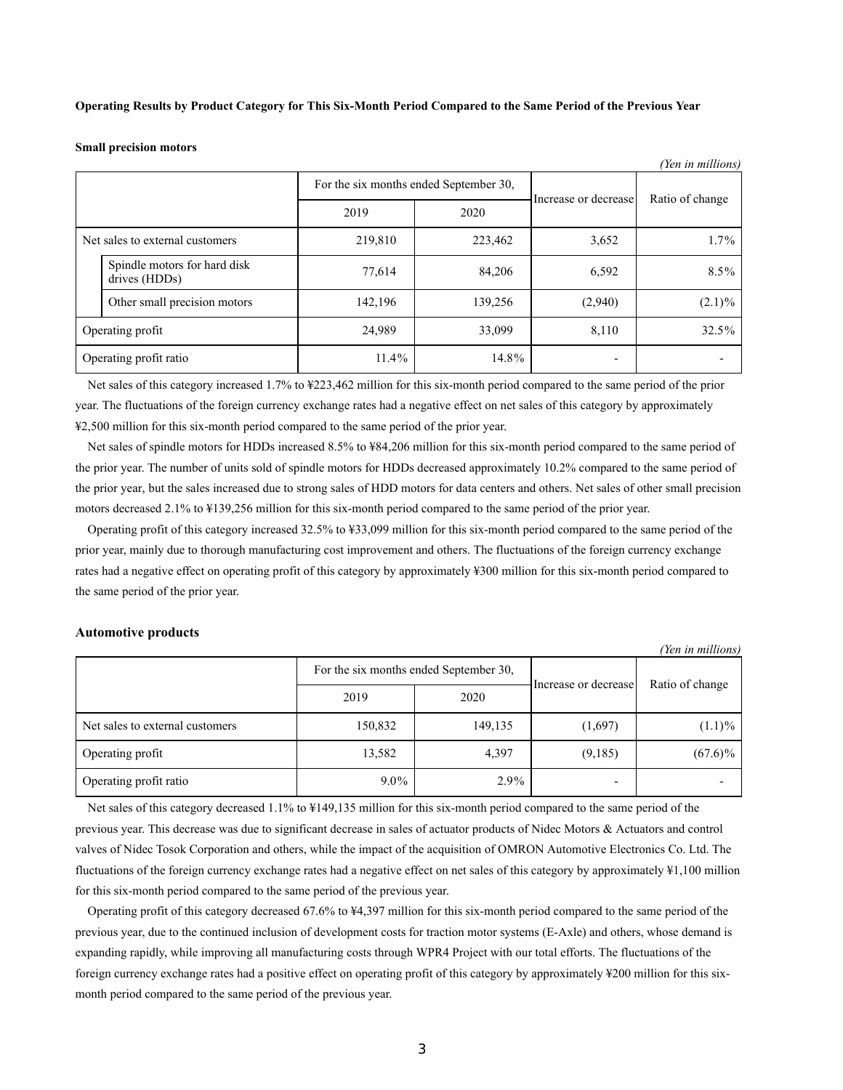### **Operating Results by Product Category for This Six-Month Period Compared to the Same Period of the Previous Year**

### **Small precision motors**

|                  |                                               |          |                                        |                          | (Yen in millions) |
|------------------|-----------------------------------------------|----------|----------------------------------------|--------------------------|-------------------|
|                  |                                               |          | For the six months ended September 30, |                          | Ratio of change   |
|                  |                                               | 2019     | 2020                                   | Increase or decrease     |                   |
|                  | Net sales to external customers               | 219,810  | 223,462                                | 3,652                    | $1.7\%$           |
|                  | Spindle motors for hard disk<br>drives (HDDs) | 77,614   | 84,206                                 | 6,592                    | $8.5\%$           |
|                  | Other small precision motors                  | 142,196  | 139,256                                | (2,940)                  | $(2.1)\%$         |
| Operating profit |                                               | 24,989   | 33,099                                 | 8,110                    | 32.5%             |
|                  | Operating profit ratio                        | $11.4\%$ | 14.8%                                  | $\overline{\phantom{0}}$ |                   |

Net sales of this category increased 1.7% to ¥223,462 million for this six-month period compared to the same period of the prior year. The fluctuations of the foreign currency exchange rates had a negative effect on net sales of this category by approximately ¥2,500 million for this six-month period compared to the same period of the prior year.

Net sales of spindle motors for HDDs increased 8.5% to ¥84,206 million for this six-month period compared to the same period of the prior year. The number of units sold of spindle motors for HDDs decreased approximately 10.2% compared to the same period of the prior year, but the sales increased due to strong sales of HDD motors for data centers and others. Net sales of other small precision motors decreased 2.1% to ¥139,256 million for this six-month period compared to the same period of the prior year.

Operating profit of this category increased 32.5% to ¥33,099 million for this six-month period compared to the same period of the prior year, mainly due to thorough manufacturing cost improvement and others. The fluctuations of the foreign currency exchange rates had a negative effect on operating profit of this category by approximately ¥300 million for this six-month period compared to the same period of the prior year.

### **Automotive products**

*(Yen in millions)*

|                                 | For the six months ended September 30, |         | Increase or decrease     | Ratio of change |  |
|---------------------------------|----------------------------------------|---------|--------------------------|-----------------|--|
|                                 | 2019                                   | 2020    |                          |                 |  |
| Net sales to external customers | 150,832                                | 149,135 | (1,697)                  | $(1.1)\%$       |  |
| Operating profit                | 13,582                                 | 4,397   | (9,185)                  | $(67.6)\%$      |  |
| Operating profit ratio          | $9.0\%$                                | $2.9\%$ | $\overline{\phantom{a}}$ |                 |  |

Net sales of this category decreased 1.1% to ¥149,135 million for this six-month period compared to the same period of the previous year. This decrease was due to significant decrease in sales of actuator products of Nidec Motors & Actuators and control valves of Nidec Tosok Corporation and others, while the impact of the acquisition of OMRON Automotive Electronics Co. Ltd. The fluctuations of the foreign currency exchange rates had a negative effect on net sales of this category by approximately ¥1,100 million for this six-month period compared to the same period of the previous year.

Operating profit of this category decreased 67.6% to ¥4,397 million for this six-month period compared to the same period of the previous year, due to the continued inclusion of development costs for traction motor systems (E-Axle) and others, whose demand is expanding rapidly, while improving all manufacturing costs through WPR4 Project with our total efforts. The fluctuations of the foreign currency exchange rates had a positive effect on operating profit of this category by approximately ¥200 million for this sixmonth period compared to the same period of the previous year.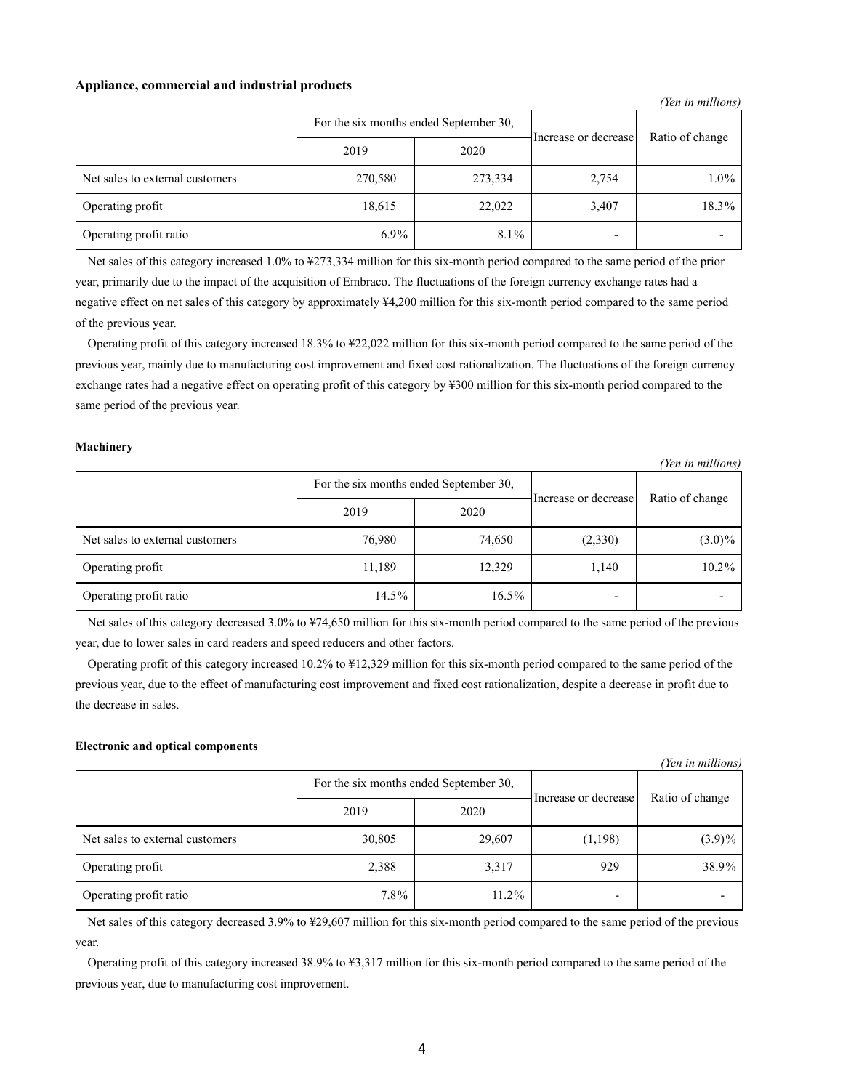### **Appliance, commercial and industrial products**

| Ten in muttons)                 |                                        |         |                      |                 |  |  |  |
|---------------------------------|----------------------------------------|---------|----------------------|-----------------|--|--|--|
|                                 | For the six months ended September 30, |         | Increase or decrease | Ratio of change |  |  |  |
|                                 | 2019                                   | 2020    |                      |                 |  |  |  |
| Net sales to external customers | 270,580                                | 273,334 | 2,754                | $1.0\%$         |  |  |  |
| Operating profit                | 18,615                                 | 22,022  | 3,407                | 18.3%           |  |  |  |
| Operating profit ratio          | $6.9\%$                                | 8.1%    |                      |                 |  |  |  |

Net sales of this category increased 1.0% to ¥273,334 million for this six-month period compared to the same period of the prior year, primarily due to the impact of the acquisition of Embraco. The fluctuations of the foreign currency exchange rates had a negative effect on net sales of this category by approximately ¥4,200 million for this six-month period compared to the same period of the previous year.

Operating profit of this category increased 18.3% to ¥22,022 million for this six-month period compared to the same period of the previous year, mainly due to manufacturing cost improvement and fixed cost rationalization. The fluctuations of the foreign currency exchange rates had a negative effect on operating profit of this category by ¥300 million for this six-month period compared to the same period of the previous year.

### **Machinery**

*(Yen in millions)*

*(Yen in millions)*

|                                 | For the six months ended September 30, |          | Increase or decrease     | Ratio of change |  |
|---------------------------------|----------------------------------------|----------|--------------------------|-----------------|--|
|                                 | 2019                                   | 2020     |                          |                 |  |
| Net sales to external customers | 76,980                                 | 74,650   | (2,330)                  | $(3.0)\%$       |  |
| Operating profit                | 11,189                                 | 12,329   | 1,140                    | $10.2\%$        |  |
| Operating profit ratio          | 14.5%                                  | $16.5\%$ | $\overline{\phantom{a}}$ |                 |  |

Net sales of this category decreased 3.0% to ¥74,650 million for this six-month period compared to the same period of the previous year, due to lower sales in card readers and speed reducers and other factors.

Operating profit of this category increased 10.2% to ¥12,329 million for this six-month period compared to the same period of the previous year, due to the effect of manufacturing cost improvement and fixed cost rationalization, despite a decrease in profit due to the decrease in sales.

### **Electronic and optical components**

*(Yen in millions)*

|                                 |                                        |        |                          | ICH III MUUTONSI |  |
|---------------------------------|----------------------------------------|--------|--------------------------|------------------|--|
|                                 | For the six months ended September 30, |        | Increase or decrease     |                  |  |
|                                 | 2019                                   | 2020   |                          | Ratio of change  |  |
| Net sales to external customers | 30,805                                 | 29,607 | (1,198)                  | $(3.9)\%$        |  |
| Operating profit                | 2,388                                  | 3,317  | 929                      | 38.9%            |  |
| Operating profit ratio          | $7.8\%$                                | 11.2%  | $\overline{\phantom{a}}$ |                  |  |

Net sales of this category decreased 3.9% to ¥29,607 million for this six-month period compared to the same period of the previous year.

Operating profit of this category increased 38.9% to ¥3,317 million for this six-month period compared to the same period of the previous year, due to manufacturing cost improvement.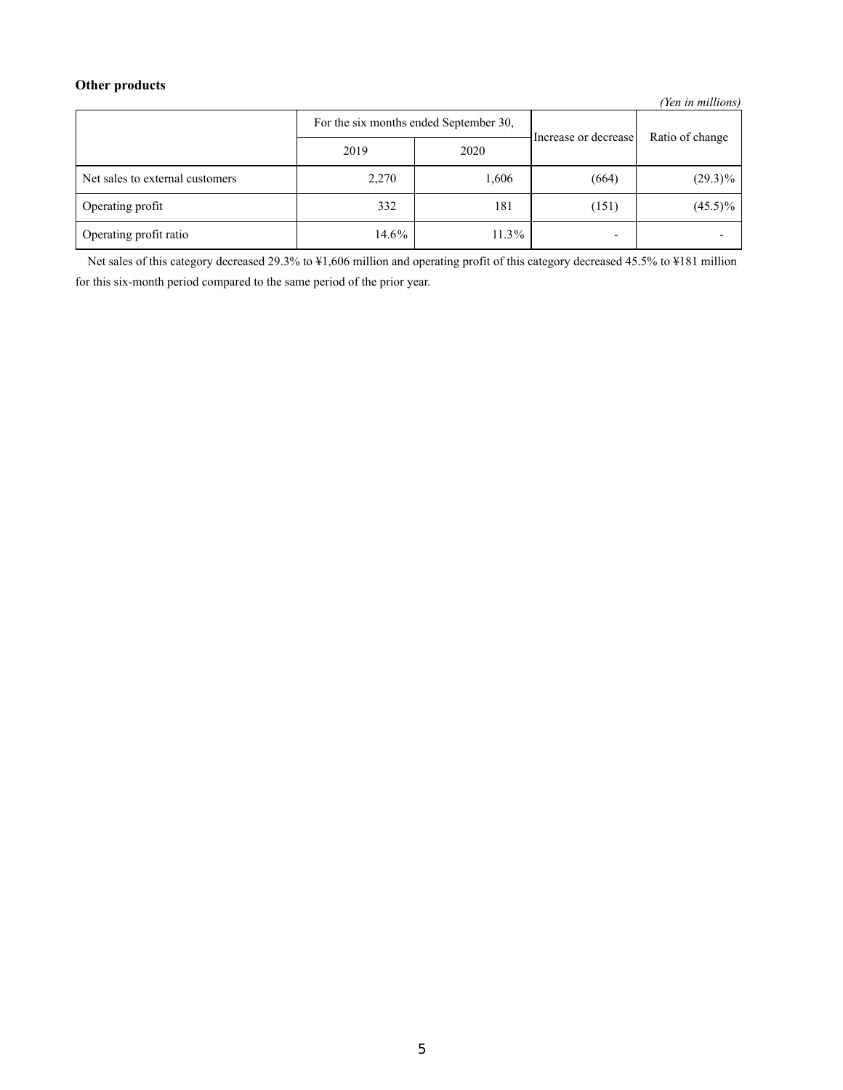# **Other products**

*(Yen in millions)*

|                                 | For the six months ended September 30, |       | Increase or decrease     | Ratio of change |  |
|---------------------------------|----------------------------------------|-------|--------------------------|-----------------|--|
|                                 | 2019                                   | 2020  |                          |                 |  |
| Net sales to external customers | 2,270                                  | 1,606 | (664)                    | $(29.3)\%$      |  |
| Operating profit                | 332                                    | 181   | (151)                    | $(45.5)\%$      |  |
| Operating profit ratio          | 14.6%                                  | 11.3% | $\overline{\phantom{0}}$ |                 |  |

Net sales of this category decreased 29.3% to ¥1,606 million and operating profit of this category decreased 45.5% to ¥181 million for this six-month period compared to the same period of the prior year.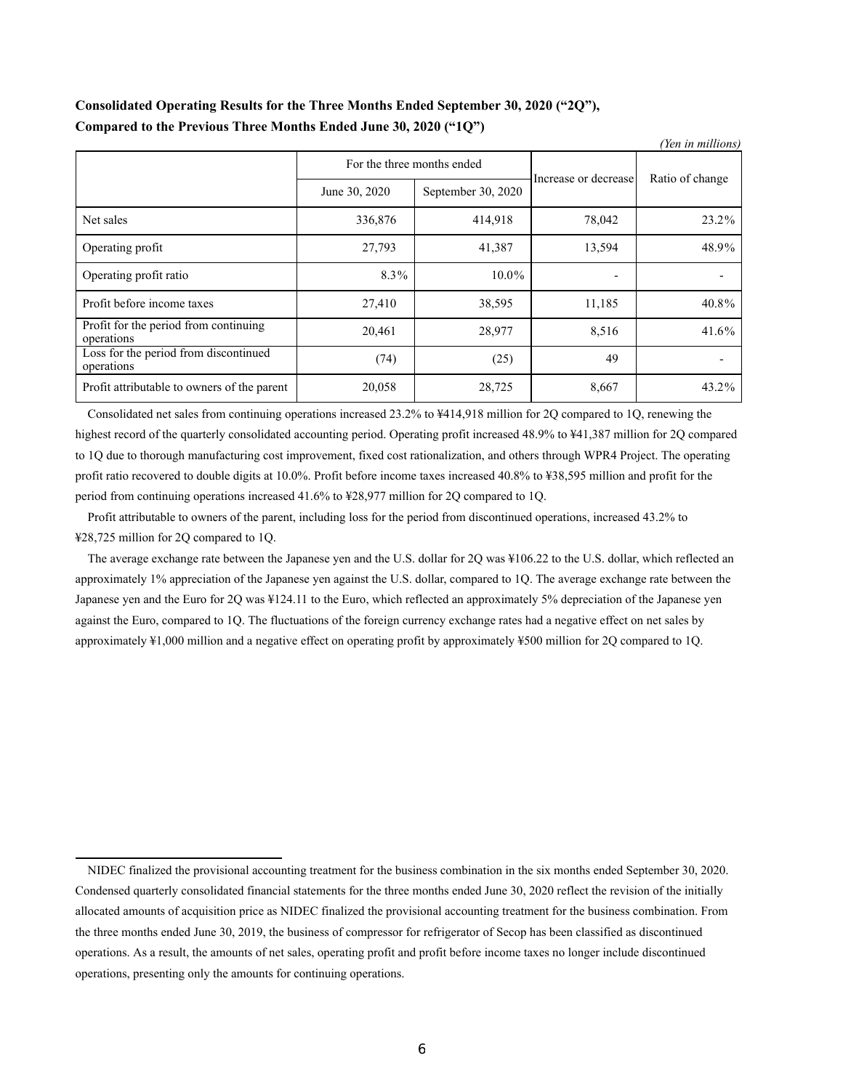# **Consolidated Operating Results for the Three Months Ended September 30, 2020 ("2Q"), Compared to the Previous Three Months Ended June 30, 2020 ("1Q")**

| (Yen in millions)                                   |                            |                    |                          |                 |  |
|-----------------------------------------------------|----------------------------|--------------------|--------------------------|-----------------|--|
|                                                     | For the three months ended |                    | Increase or decrease     |                 |  |
|                                                     | June 30, 2020              | September 30, 2020 |                          | Ratio of change |  |
| Net sales                                           | 336,876                    | 414,918            | 78,042                   | 23.2%           |  |
| Operating profit                                    | 27,793                     | 41,387             | 13,594                   | 48.9%           |  |
| Operating profit ratio                              | 8.3%                       | $10.0\%$           | $\overline{\phantom{a}}$ |                 |  |
| Profit before income taxes                          | 27,410                     | 38,595             | 11,185                   | 40.8%           |  |
| Profit for the period from continuing<br>operations | 20,461                     | 28,977             | 8,516                    | 41.6%           |  |
| Loss for the period from discontinued<br>operations | (74)                       | (25)               | 49                       |                 |  |
| Profit attributable to owners of the parent         | 20,058                     | 28,725             | 8,667                    | 43.2%           |  |

Consolidated net sales from continuing operations increased 23.2% to ¥414,918 million for 2Q compared to 1Q, renewing the highest record of the quarterly consolidated accounting period. Operating profit increased 48.9% to ¥41,387 million for 2Q compared to 1Q due to thorough manufacturing cost improvement, fixed cost rationalization, and others through WPR4 Project. The operating profit ratio recovered to double digits at 10.0%. Profit before income taxes increased 40.8% to ¥38,595 million and profit for the period from continuing operations increased 41.6% to ¥28,977 million for 2Q compared to 1Q.

Profit attributable to owners of the parent, including loss for the period from discontinued operations, increased 43.2% to ¥28,725 million for 2Q compared to 1Q.

The average exchange rate between the Japanese yen and the U.S. dollar for 2Q was ¥106.22 to the U.S. dollar, which reflected an approximately 1% appreciation of the Japanese yen against the U.S. dollar, compared to 1Q. The average exchange rate between the Japanese yen and the Euro for 2Q was ¥124.11 to the Euro, which reflected an approximately 5% depreciation of the Japanese yen against the Euro, compared to 1Q. The fluctuations of the foreign currency exchange rates had a negative effect on net sales by approximately ¥1,000 million and a negative effect on operating profit by approximately ¥500 million for 2Q compared to 1Q.

NIDEC finalized the provisional accounting treatment for the business combination in the six months ended September 30, 2020. Condensed quarterly consolidated financial statements for the three months ended June 30, 2020 reflect the revision of the initially allocated amounts of acquisition price as NIDEC finalized the provisional accounting treatment for the business combination. From the three months ended June 30, 2019, the business of compressor for refrigerator of Secop has been classified as discontinued operations. As a result, the amounts of net sales, operating profit and profit before income taxes no longer include discontinued operations, presenting only the amounts for continuing operations.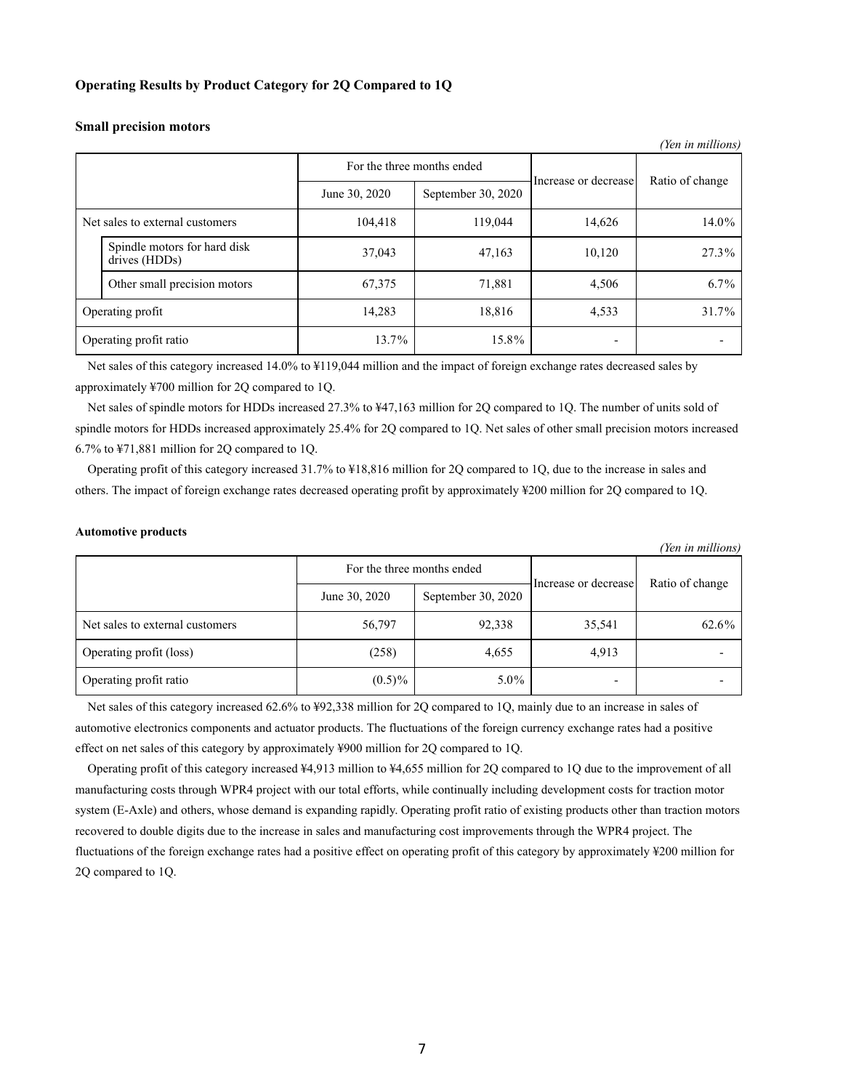### **Operating Results by Product Category for 2Q Compared to 1Q**

### **Small precision motors**

| (Yen in millions) |                                               |                            |                    |                      |                 |
|-------------------|-----------------------------------------------|----------------------------|--------------------|----------------------|-----------------|
|                   |                                               | For the three months ended |                    |                      |                 |
|                   |                                               | June 30, 2020              | September 30, 2020 | Increase or decrease | Ratio of change |
|                   | Net sales to external customers               | 104,418                    | 119,044            | 14,626               | 14.0%           |
|                   | Spindle motors for hard disk<br>drives (HDDs) | 37,043                     | 47,163             | 10,120               | 27.3%           |
|                   | Other small precision motors                  | 67,375                     | 71,881             | 4,506                | $6.7\%$         |
|                   | Operating profit                              | 14,283                     | 18,816             | 4,533                | 31.7%           |
|                   | Operating profit ratio                        | 13.7%                      | 15.8%              |                      |                 |

Net sales of this category increased 14.0% to ¥119,044 million and the impact of foreign exchange rates decreased sales by approximately ¥700 million for 2Q compared to 1Q.

Net sales of spindle motors for HDDs increased 27.3% to ¥47,163 million for 2Q compared to 1Q. The number of units sold of spindle motors for HDDs increased approximately 25.4% for 2Q compared to 1Q. Net sales of other small precision motors increased 6.7% to ¥71,881 million for 2Q compared to 1Q.

Operating profit of this category increased 31.7% to ¥18,816 million for 2Q compared to 1Q, due to the increase in sales and others. The impact of foreign exchange rates decreased operating profit by approximately ¥200 million for 2Q compared to 1Q.

### **Automotive products**

|                                 |               |                            |                          | (Yen in millions) |
|---------------------------------|---------------|----------------------------|--------------------------|-------------------|
|                                 |               | For the three months ended | Increase or decrease     | Ratio of change   |
|                                 | June 30, 2020 | September 30, 2020         |                          |                   |
| Net sales to external customers | 56,797        | 92,338                     | 35,541                   | 62.6%             |
| Operating profit (loss)         | (258)         | 4,655                      | 4,913                    |                   |
| Operating profit ratio          | $(0.5)\%$     | $5.0\%$                    | $\overline{\phantom{a}}$ |                   |

Net sales of this category increased 62.6% to ¥92,338 million for 2Q compared to 1Q, mainly due to an increase in sales of automotive electronics components and actuator products. The fluctuations of the foreign currency exchange rates had a positive effect on net sales of this category by approximately ¥900 million for 2Q compared to 1Q.

Operating profit of this category increased ¥4,913 million to ¥4,655 million for 2Q compared to 1Q due to the improvement of all manufacturing costs through WPR4 project with our total efforts, while continually including development costs for traction motor system (E-Axle) and others, whose demand is expanding rapidly. Operating profit ratio of existing products other than traction motors recovered to double digits due to the increase in sales and manufacturing cost improvements through the WPR4 project. The fluctuations of the foreign exchange rates had a positive effect on operating profit of this category by approximately ¥200 million for 2Q compared to 1Q.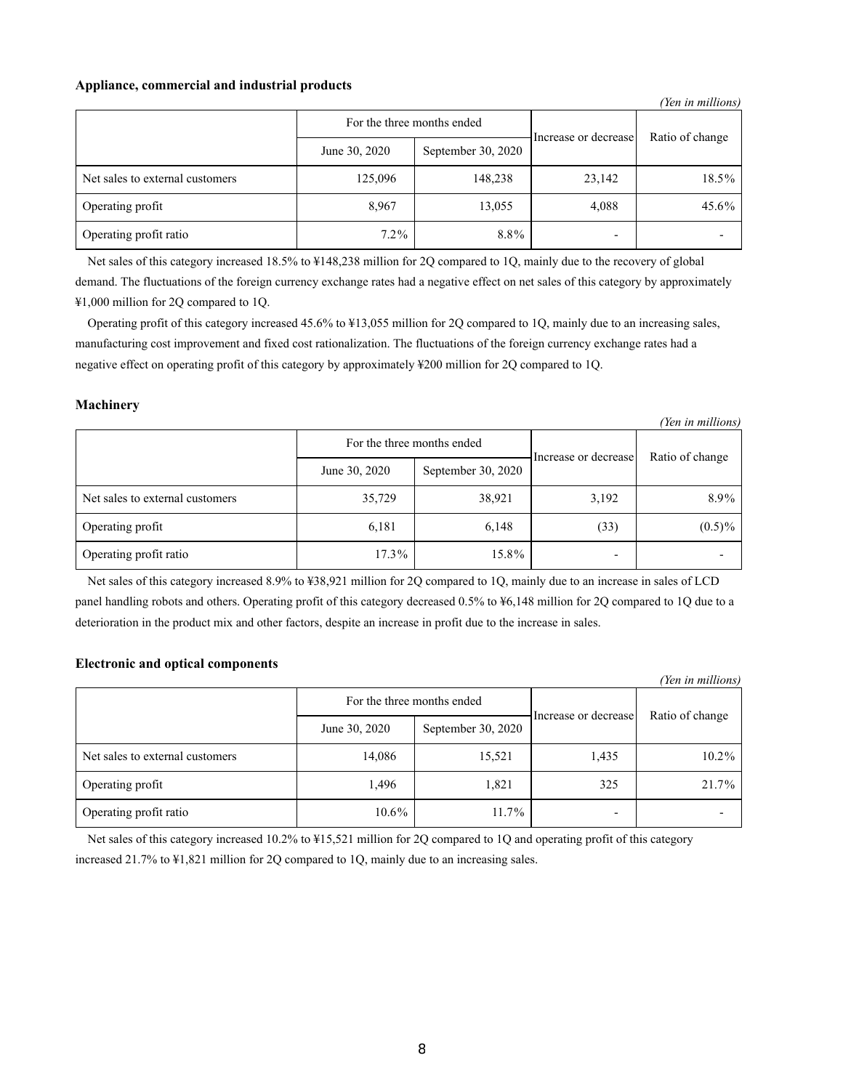### **Appliance, commercial and industrial products**

|                                 |               |                            |                      | (Yen in millions) |
|---------------------------------|---------------|----------------------------|----------------------|-------------------|
|                                 |               | For the three months ended | Increase or decrease | Ratio of change   |
|                                 | June 30, 2020 | September 30, 2020         |                      |                   |
| Net sales to external customers | 125,096       | 148,238                    | 23,142               | 18.5%             |
| Operating profit                | 8,967         | 13,055                     | 4,088                | 45.6%             |
| Operating profit ratio          | $7.2\%$       | $8.8\%$                    |                      |                   |

Net sales of this category increased 18.5% to ¥148,238 million for 2Q compared to 1Q, mainly due to the recovery of global demand. The fluctuations of the foreign currency exchange rates had a negative effect on net sales of this category by approximately ¥1,000 million for 2Q compared to 1Q.

Operating profit of this category increased 45.6% to ¥13,055 million for 2Q compared to 1Q, mainly due to an increasing sales, manufacturing cost improvement and fixed cost rationalization. The fluctuations of the foreign currency exchange rates had a negative effect on operating profit of this category by approximately ¥200 million for 2Q compared to 1Q.

### **Machinery**

|                                 |               |                                                    |       | (Yen in millions) |
|---------------------------------|---------------|----------------------------------------------------|-------|-------------------|
|                                 |               | For the three months ended<br>Increase or decrease |       | Ratio of change   |
|                                 | June 30, 2020 | September 30, 2020                                 |       |                   |
| Net sales to external customers | 35,729        | 38,921                                             | 3,192 | 8.9%              |
| Operating profit                | 6,181         | 6,148                                              | (33)  | $(0.5)\%$         |
| Operating profit ratio          | $17.3\%$      | 15.8%                                              |       |                   |

Net sales of this category increased 8.9% to ¥38,921 million for 2Q compared to 1Q, mainly due to an increase in sales of LCD panel handling robots and others. Operating profit of this category decreased 0.5% to ¥6,148 million for 2Q compared to 1Q due to a deterioration in the product mix and other factors, despite an increase in profit due to the increase in sales.

### **Electronic and optical components**

| (Yen in millions)               |               |                            |                          |                 |  |
|---------------------------------|---------------|----------------------------|--------------------------|-----------------|--|
|                                 |               | For the three months ended |                          | Ratio of change |  |
|                                 | June 30, 2020 | September 30, 2020         | Increase or decrease     |                 |  |
| Net sales to external customers | 14,086        | 15,521                     | 1,435                    | 10.2%           |  |
| Operating profit                | 1,496         | 1,821                      | 325                      | 21.7%           |  |
| Operating profit ratio          | $10.6\%$      | $11.7\%$                   | $\overline{\phantom{a}}$ |                 |  |

Net sales of this category increased 10.2% to ¥15,521 million for 2Q compared to 1Q and operating profit of this category increased 21.7% to ¥1,821 million for 2Q compared to 1Q, mainly due to an increasing sales.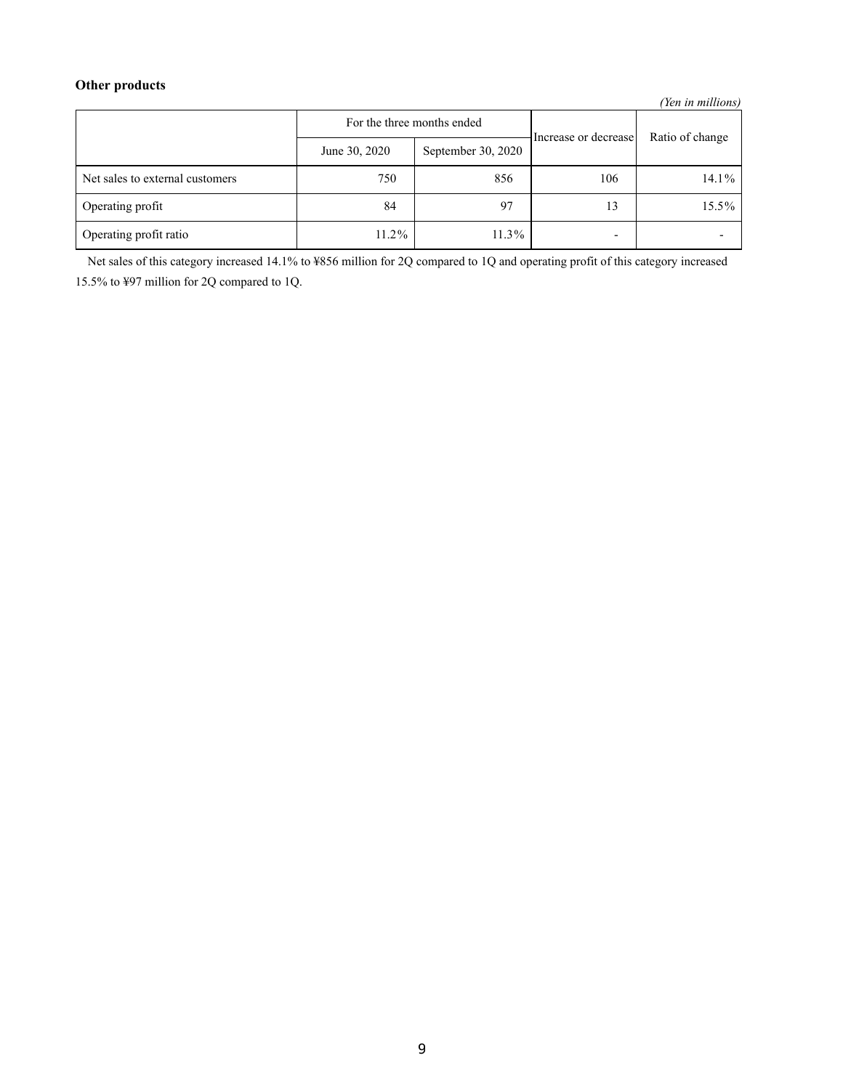# **Other products**

*(Yen in millions)*

|                                 |               | For the three months ended | Increase or decrease     | Ratio of change |
|---------------------------------|---------------|----------------------------|--------------------------|-----------------|
|                                 | June 30, 2020 | September 30, 2020         |                          |                 |
| Net sales to external customers | 750           | 856                        | 106                      | $14.1\%$        |
| Operating profit                | 84            | 97                         | 13                       | 15.5%           |
| Operating profit ratio          | 11.2%         | 11.3%                      | $\overline{\phantom{0}}$ |                 |

Net sales of this category increased 14.1% to ¥856 million for 2Q compared to 1Q and operating profit of this category increased 15.5% to ¥97 million for 2Q compared to 1Q.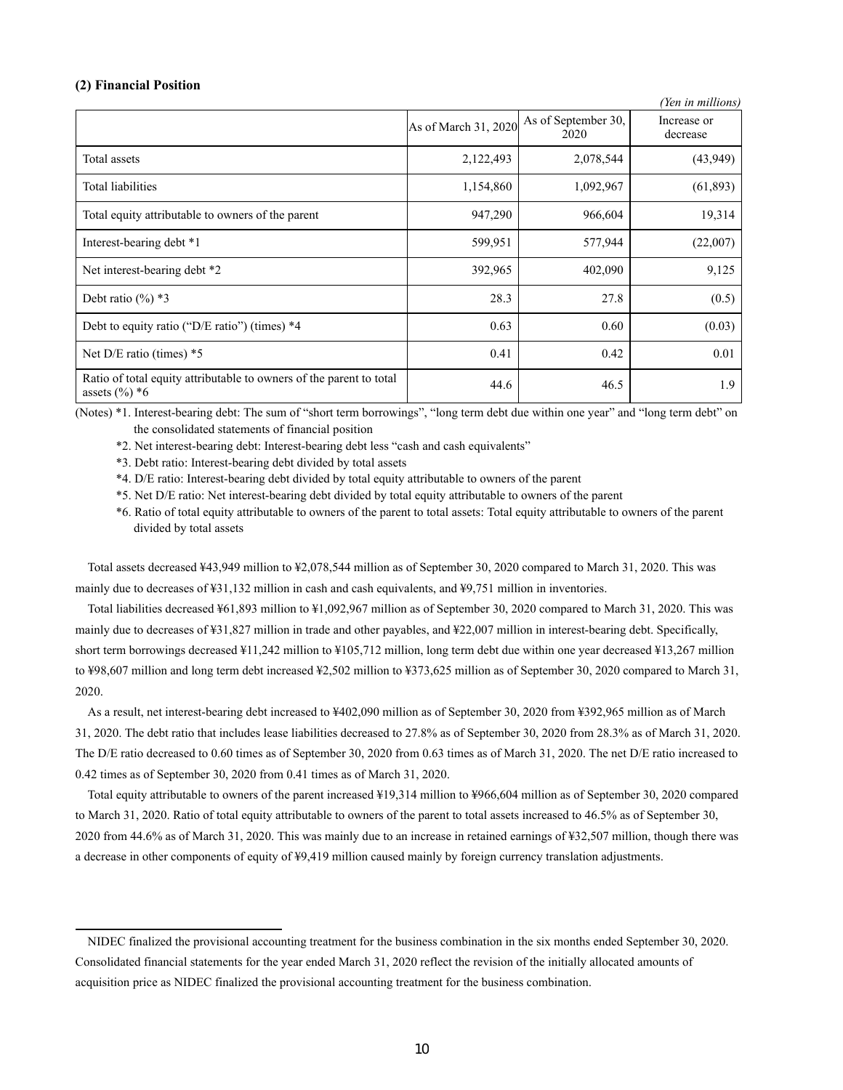### **(2) Financial Position**

| r ren in muuons                                                                         |                      |                             |                         |  |
|-----------------------------------------------------------------------------------------|----------------------|-----------------------------|-------------------------|--|
|                                                                                         | As of March 31, 2020 | As of September 30,<br>2020 | Increase or<br>decrease |  |
| Total assets                                                                            | 2,122,493            | 2,078,544                   | (43, 949)               |  |
| Total liabilities                                                                       | 1,154,860            | 1,092,967                   | (61, 893)               |  |
| Total equity attributable to owners of the parent                                       | 947,290              | 966,604                     | 19,314                  |  |
| Interest-bearing debt *1                                                                | 599,951              | 577,944                     | (22,007)                |  |
| Net interest-bearing debt *2                                                            | 392,965              | 402,090                     | 9,125                   |  |
| Debt ratio $(\%)$ *3                                                                    | 28.3                 | 27.8                        | (0.5)                   |  |
| Debt to equity ratio ("D/E ratio") (times) *4                                           | 0.63                 | 0.60                        | (0.03)                  |  |
| Net $D/E$ ratio (times) $*5$                                                            | 0.41                 | 0.42                        | 0.01                    |  |
| Ratio of total equity attributable to owners of the parent to total<br>assets $(\%)^*6$ | 44.6                 | 46.5                        | 1.9                     |  |

*(Yen in millions)*

(Notes) \*1. Interest-bearing debt: The sum of "short term borrowings", "long term debt due within one year" and "long term debt" on the consolidated statements of financial position

\*2. Net interest-bearing debt: Interest-bearing debt less "cash and cash equivalents"

\*3. Debt ratio: Interest-bearing debt divided by total assets

\*4. D/E ratio: Interest-bearing debt divided by total equity attributable to owners of the parent

\*5. Net D/E ratio: Net interest-bearing debt divided by total equity attributable to owners of the parent

\*6. Ratio of total equity attributable to owners of the parent to total assets: Total equity attributable to owners of the parent divided by total assets

Total assets decreased ¥43,949 million to ¥2,078,544 million as of September 30, 2020 compared to March 31, 2020. This was mainly due to decreases of ¥31,132 million in cash and cash equivalents, and ¥9,751 million in inventories.

Total liabilities decreased ¥61,893 million to ¥1,092,967 million as of September 30, 2020 compared to March 31, 2020. This was mainly due to decreases of ¥31,827 million in trade and other payables, and ¥22,007 million in interest-bearing debt. Specifically, short term borrowings decreased ¥11,242 million to ¥105,712 million, long term debt due within one year decreased ¥13,267 million to ¥98,607 million and long term debt increased ¥2,502 million to ¥373,625 million as of September 30, 2020 compared to March 31, 2020.

As a result, net interest-bearing debt increased to ¥402,090 million as of September 30, 2020 from ¥392,965 million as of March 31, 2020. The debt ratio that includes lease liabilities decreased to 27.8% as of September 30, 2020 from 28.3% as of March 31, 2020. The D/E ratio decreased to 0.60 times as of September 30, 2020 from 0.63 times as of March 31, 2020. The net D/E ratio increased to 0.42 times as of September 30, 2020 from 0.41 times as of March 31, 2020.

Total equity attributable to owners of the parent increased ¥19,314 million to ¥966,604 million as of September 30, 2020 compared to March 31, 2020. Ratio of total equity attributable to owners of the parent to total assets increased to 46.5% as of September 30, 2020 from 44.6% as of March 31, 2020. This was mainly due to an increase in retained earnings of ¥32,507 million, though there was a decrease in other components of equity of ¥9,419 million caused mainly by foreign currency translation adjustments.

NIDEC finalized the provisional accounting treatment for the business combination in the six months ended September 30, 2020. Consolidated financial statements for the year ended March 31, 2020 reflect the revision of the initially allocated amounts of acquisition price as NIDEC finalized the provisional accounting treatment for the business combination.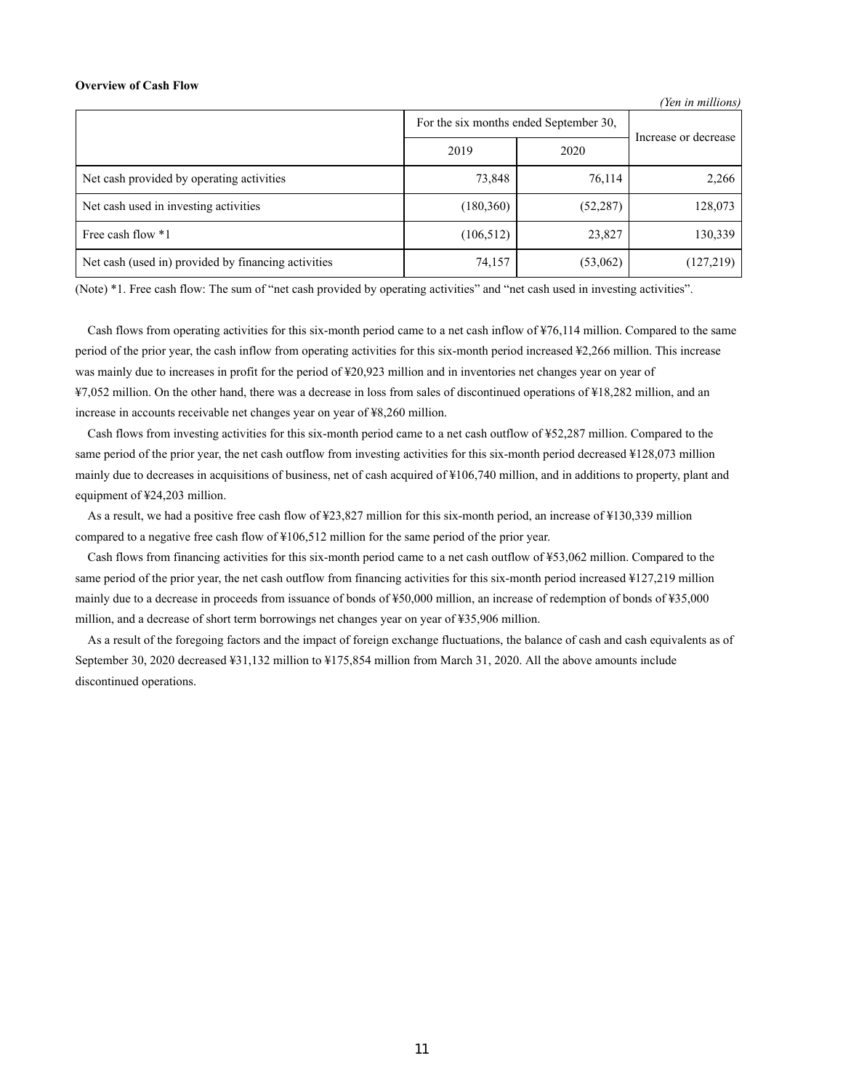### **Overview of Cash Flow**

*(Yen in millions)*

|                                                     | For the six months ended September 30, |           |                      |
|-----------------------------------------------------|----------------------------------------|-----------|----------------------|
|                                                     | 2019                                   | 2020      | Increase or decrease |
| Net cash provided by operating activities           | 73,848                                 | 76,114    | 2,266                |
| Net cash used in investing activities               | (180, 360)                             | (52, 287) | 128,073              |
| Free cash flow *1                                   | (106, 512)                             | 23,827    | 130,339              |
| Net cash (used in) provided by financing activities | 74,157                                 | (53,062)  | (127, 219)           |

(Note) \*1. Free cash flow: The sum of "net cash provided by operating activities" and "net cash used in investing activities".

Cash flows from operating activities for this six-month period came to a net cash inflow of ¥76,114 million. Compared to the same period of the prior year, the cash inflow from operating activities for this six-month period increased ¥2,266 million. This increase was mainly due to increases in profit for the period of ¥20,923 million and in inventories net changes year on year of ¥7,052 million. On the other hand, there was a decrease in loss from sales of discontinued operations of ¥18,282 million, and an increase in accounts receivable net changes year on year of ¥8,260 million.

Cash flows from investing activities for this six-month period came to a net cash outflow of ¥52,287 million. Compared to the same period of the prior year, the net cash outflow from investing activities for this six-month period decreased ¥128,073 million mainly due to decreases in acquisitions of business, net of cash acquired of ¥106,740 million, and in additions to property, plant and equipment of ¥24,203 million.

As a result, we had a positive free cash flow of ¥23,827 million for this six-month period, an increase of ¥130,339 million compared to a negative free cash flow of ¥106,512 million for the same period of the prior year.

Cash flows from financing activities for this six-month period came to a net cash outflow of ¥53,062 million. Compared to the same period of the prior year, the net cash outflow from financing activities for this six-month period increased ¥127,219 million mainly due to a decrease in proceeds from issuance of bonds of ¥50,000 million, an increase of redemption of bonds of ¥35,000 million, and a decrease of short term borrowings net changes year on year of ¥35,906 million.

As a result of the foregoing factors and the impact of foreign exchange fluctuations, the balance of cash and cash equivalents as of September 30, 2020 decreased ¥31,132 million to ¥175,854 million from March 31, 2020. All the above amounts include discontinued operations.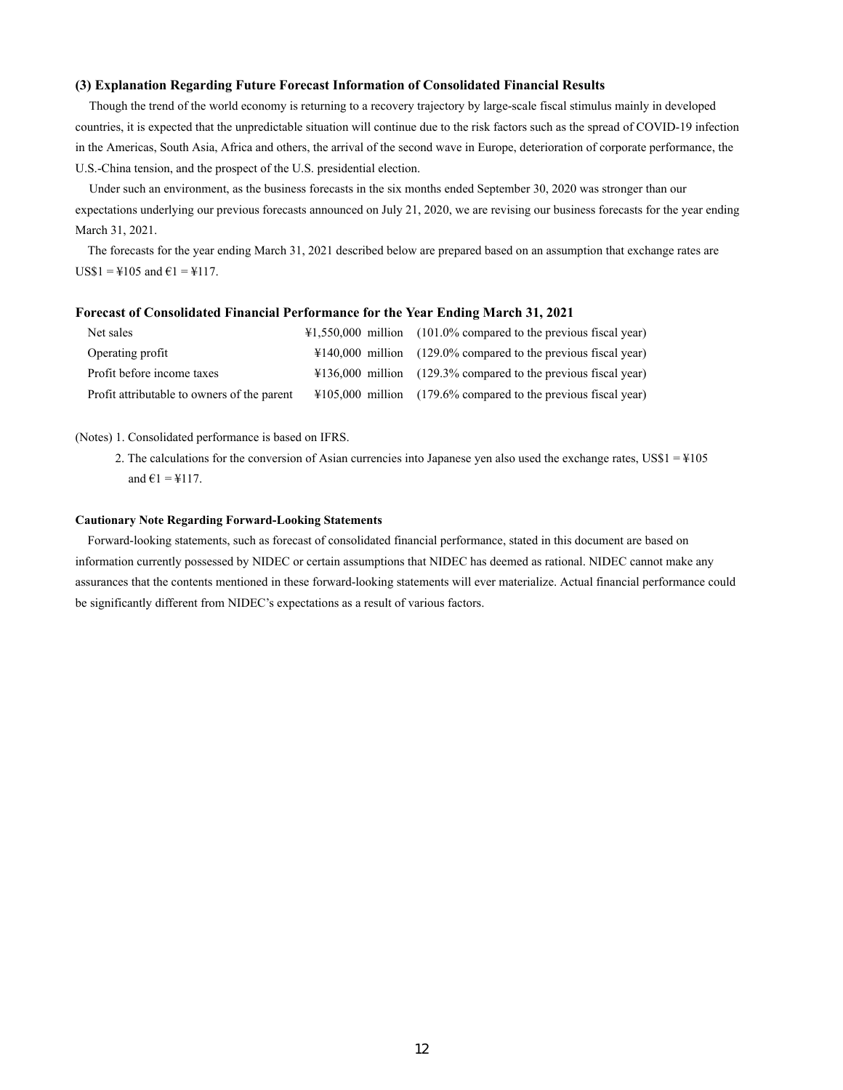### **(3) Explanation Regarding Future Forecast Information of Consolidated Financial Results**

Though the trend of the world economy is returning to a recovery trajectory by large-scale fiscal stimulus mainly in developed countries, it is expected that the unpredictable situation will continue due to the risk factors such as the spread of COVID-19 infection in the Americas, South Asia, Africa and others, the arrival of the second wave in Europe, deterioration of corporate performance, the U.S.-China tension, and the prospect of the U.S. presidential election.

Under such an environment, as the business forecasts in the six months ended September 30, 2020 was stronger than our expectations underlying our previous forecasts announced on July 21, 2020, we are revising our business forecasts for the year ending March 31, 2021.

The forecasts for the year ending March 31, 2021 described below are prepared based on an assumption that exchange rates are  $US$1 = $105$  and  $€1 = $117$ .

### **Forecast of Consolidated Financial Performance for the Year Ending March 31, 2021**

| Net sales                                   | $\text{\#1,550,000}$ million (101.0% compared to the previous fiscal year) |
|---------------------------------------------|----------------------------------------------------------------------------|
| Operating profit                            | $\text{\#140,000}$ million (129.0% compared to the previous fiscal year)   |
| Profit before income taxes                  | $\text{\#136,000}$ million (129.3% compared to the previous fiscal year)   |
| Profit attributable to owners of the parent | $\text{\#105,000}$ million (179.6% compared to the previous fiscal year)   |

### (Notes) 1. Consolidated performance is based on IFRS.

2. The calculations for the conversion of Asian currencies into Japanese yen also used the exchange rates,  $USS1 = 4105$ and  $\epsilon$ 1 = ¥117.

### **Cautionary Note Regarding Forward-Looking Statements**

Forward-looking statements, such as forecast of consolidated financial performance, stated in this document are based on information currently possessed by NIDEC or certain assumptions that NIDEC has deemed as rational. NIDEC cannot make any assurances that the contents mentioned in these forward-looking statements will ever materialize. Actual financial performance could be significantly different from NIDEC's expectations as a result of various factors.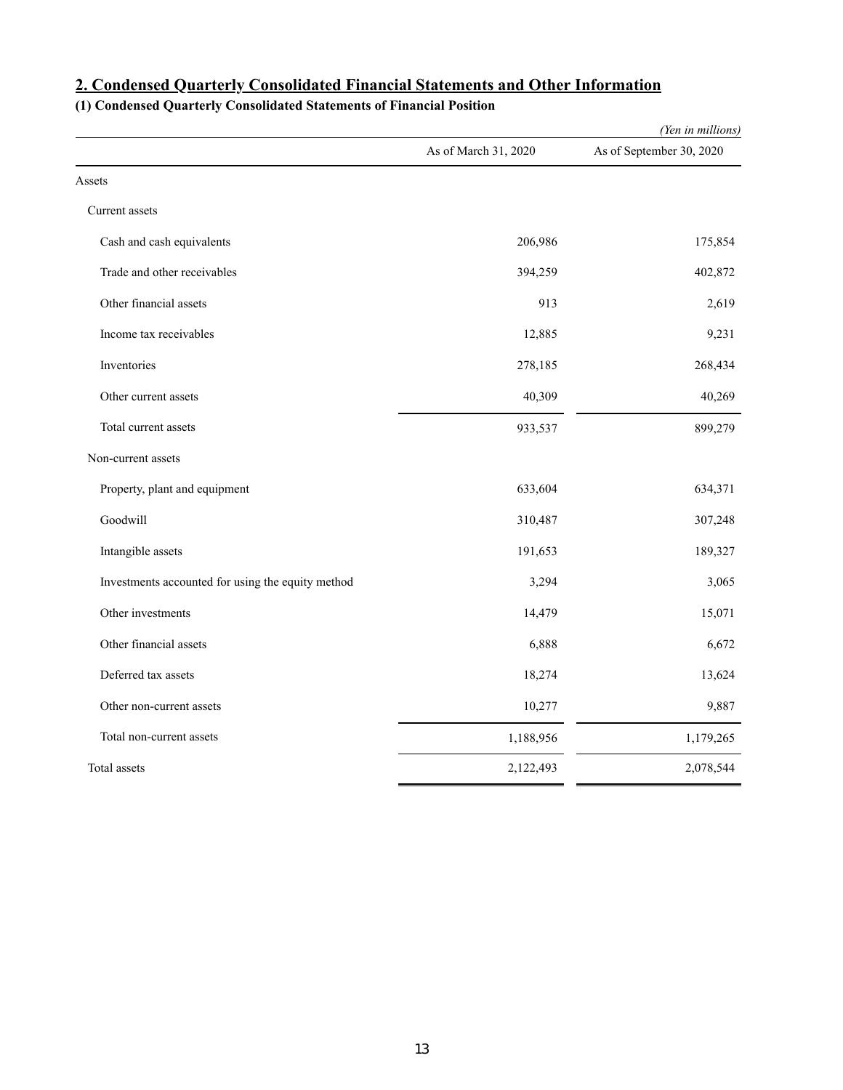|                                                   |                      | (Yen in millions)        |
|---------------------------------------------------|----------------------|--------------------------|
|                                                   | As of March 31, 2020 | As of September 30, 2020 |
| Assets                                            |                      |                          |
| Current assets                                    |                      |                          |
| Cash and cash equivalents                         | 206,986              | 175,854                  |
| Trade and other receivables                       | 394,259              | 402,872                  |
| Other financial assets                            | 913                  | 2,619                    |
| Income tax receivables                            | 12,885               | 9,231                    |
| Inventories                                       | 278,185              | 268,434                  |
| Other current assets                              | 40,309               | 40,269                   |
| Total current assets                              | 933,537              | 899,279                  |
| Non-current assets                                |                      |                          |
| Property, plant and equipment                     | 633,604              | 634,371                  |
| Goodwill                                          | 310,487              | 307,248                  |
| Intangible assets                                 | 191,653              | 189,327                  |
| Investments accounted for using the equity method | 3,294                | 3,065                    |
| Other investments                                 | 14,479               | 15,071                   |
| Other financial assets                            | 6,888                | 6,672                    |
| Deferred tax assets                               | 18,274               | 13,624                   |
| Other non-current assets                          | 10,277               | 9,887                    |
| Total non-current assets                          | 1,188,956            | 1,179,265                |
| Total assets                                      | 2,122,493            | 2,078,544                |

# **2. Condensed Quarterly Consolidated Financial Statements and Other Information**

**(1) Condensed Quarterly Consolidated Statements of Financial Position**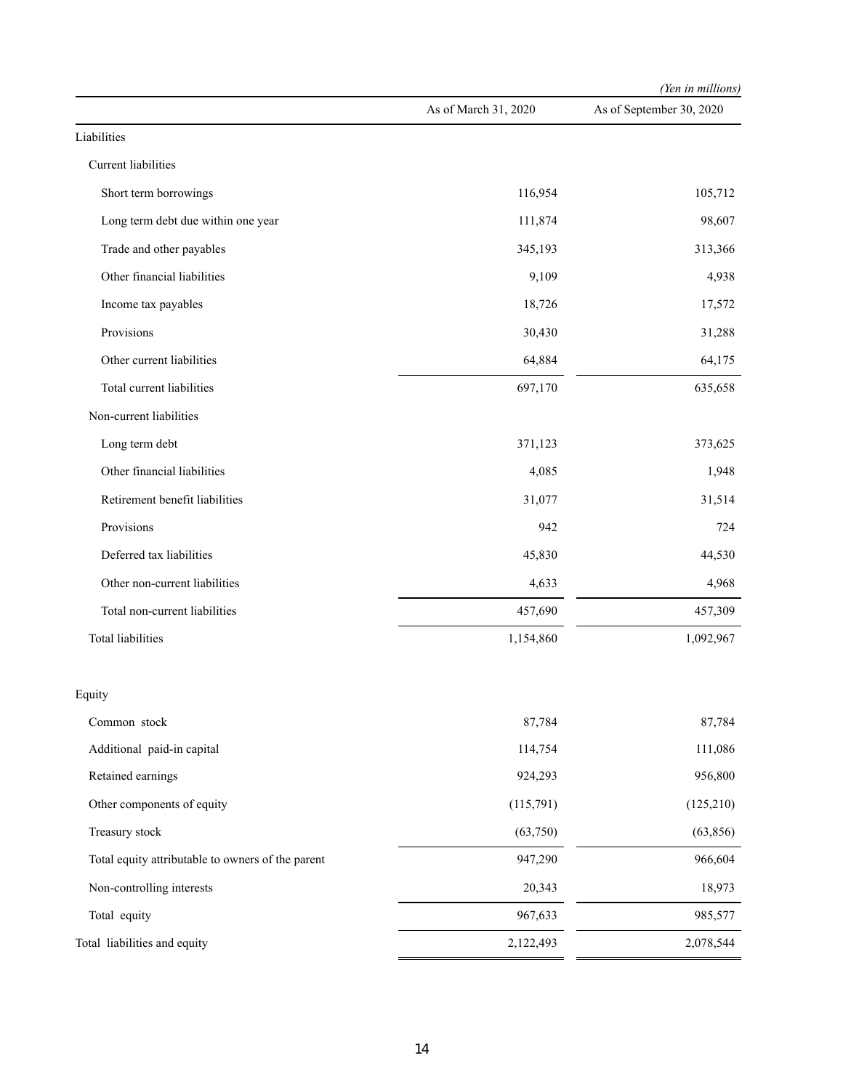|                                                   |                      | (Yen in millions)        |
|---------------------------------------------------|----------------------|--------------------------|
|                                                   | As of March 31, 2020 | As of September 30, 2020 |
| Liabilities                                       |                      |                          |
| Current liabilities                               |                      |                          |
| Short term borrowings                             | 116,954              | 105,712                  |
| Long term debt due within one year                | 111,874              | 98,607                   |
| Trade and other payables                          | 345,193              | 313,366                  |
| Other financial liabilities                       | 9,109                | 4,938                    |
| Income tax payables                               | 18,726               | 17,572                   |
| Provisions                                        | 30,430               | 31,288                   |
| Other current liabilities                         | 64,884               | 64,175                   |
| Total current liabilities                         | 697,170              | 635,658                  |
| Non-current liabilities                           |                      |                          |
| Long term debt                                    | 371,123              | 373,625                  |
| Other financial liabilities                       | 4,085                | 1,948                    |
| Retirement benefit liabilities                    | 31,077               | 31,514                   |
| Provisions                                        | 942                  | 724                      |
| Deferred tax liabilities                          | 45,830               | 44,530                   |
| Other non-current liabilities                     | 4,633                | 4,968                    |
| Total non-current liabilities                     | 457,690              | 457,309                  |
| <b>Total liabilities</b>                          | 1,154,860            | 1,092,967                |
| Equity                                            |                      |                          |
| Common stock                                      | 87,784               | 87,784                   |
| Additional paid-in capital                        | 114,754              | 111,086                  |
| Retained earnings                                 | 924,293              | 956,800                  |
| Other components of equity                        | (115,791)            | (125,210)                |
| Treasury stock                                    | (63,750)             | (63, 856)                |
| Total equity attributable to owners of the parent | 947,290              | 966,604                  |
| Non-controlling interests                         | 20,343               | 18,973                   |
| Total equity                                      | 967,633              | 985,577                  |
| Total liabilities and equity                      | 2,122,493            | 2,078,544                |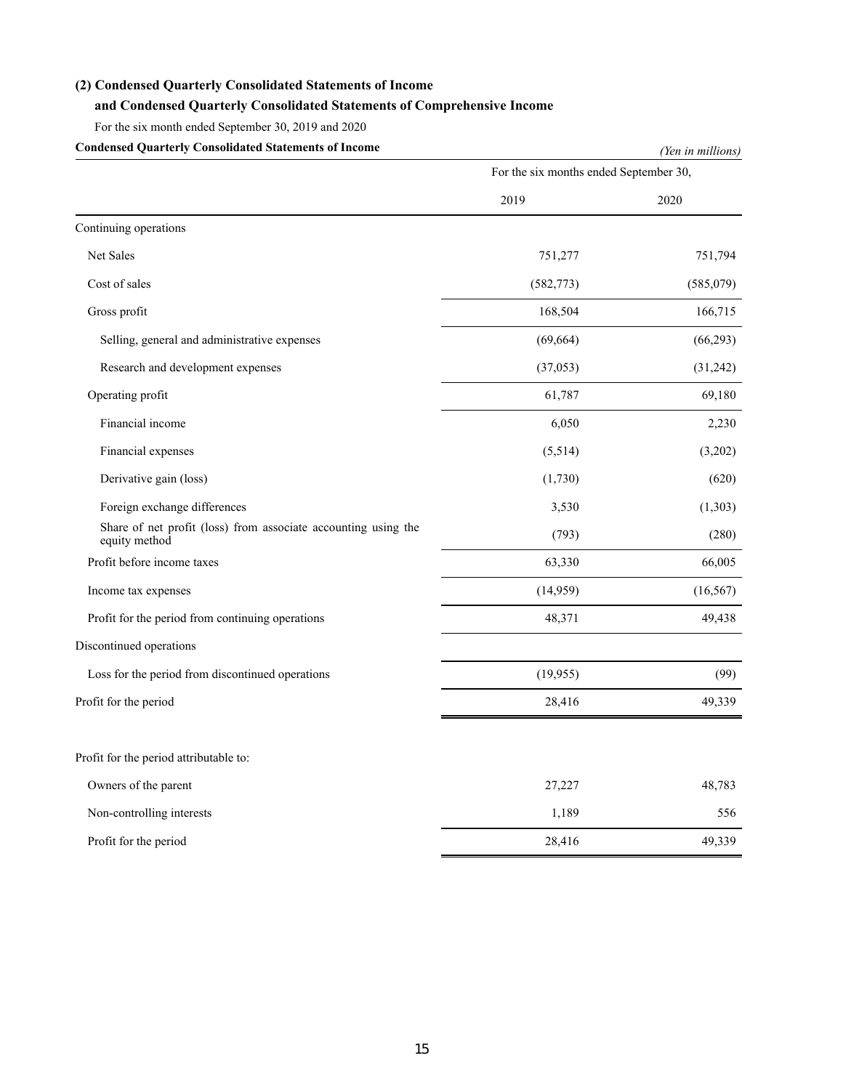# **(2) Condensed Quarterly Consolidated Statements of Income**

# **and Condensed Quarterly Consolidated Statements of Comprehensive Income**

For the six month ended September 30, 2019 and 2020

| <b>Condensed Quarterly Consolidated Statements of Income</b>                    | (Yen in millions)                      |           |  |  |  |
|---------------------------------------------------------------------------------|----------------------------------------|-----------|--|--|--|
|                                                                                 | For the six months ended September 30, |           |  |  |  |
|                                                                                 | 2019                                   | 2020      |  |  |  |
| Continuing operations                                                           |                                        |           |  |  |  |
| Net Sales                                                                       | 751,277                                | 751,794   |  |  |  |
| Cost of sales                                                                   | (582, 773)                             | (585,079) |  |  |  |
| Gross profit                                                                    | 168,504                                | 166,715   |  |  |  |
| Selling, general and administrative expenses                                    | (69, 664)                              | (66, 293) |  |  |  |
| Research and development expenses                                               | (37,053)                               | (31,242)  |  |  |  |
| Operating profit                                                                | 61,787                                 | 69,180    |  |  |  |
| Financial income                                                                | 6,050                                  | 2,230     |  |  |  |
| Financial expenses                                                              | (5,514)                                | (3,202)   |  |  |  |
| Derivative gain (loss)                                                          | (1,730)                                | (620)     |  |  |  |
| Foreign exchange differences                                                    | 3,530                                  | (1,303)   |  |  |  |
| Share of net profit (loss) from associate accounting using the<br>equity method | (793)                                  | (280)     |  |  |  |
| Profit before income taxes                                                      | 63,330                                 | 66,005    |  |  |  |
| Income tax expenses                                                             | (14,959)                               | (16, 567) |  |  |  |
| Profit for the period from continuing operations                                | 48,371                                 | 49,438    |  |  |  |
| Discontinued operations                                                         |                                        |           |  |  |  |
| Loss for the period from discontinued operations                                | (19,955)                               | (99)      |  |  |  |
| Profit for the period                                                           | 28,416                                 | 49,339    |  |  |  |
| Profit for the period attributable to:                                          |                                        |           |  |  |  |
| Owners of the parent                                                            | 27,227                                 | 48,783    |  |  |  |
| Non-controlling interests                                                       | 1,189                                  | 556       |  |  |  |
| Profit for the period                                                           | 28,416                                 | 49,339    |  |  |  |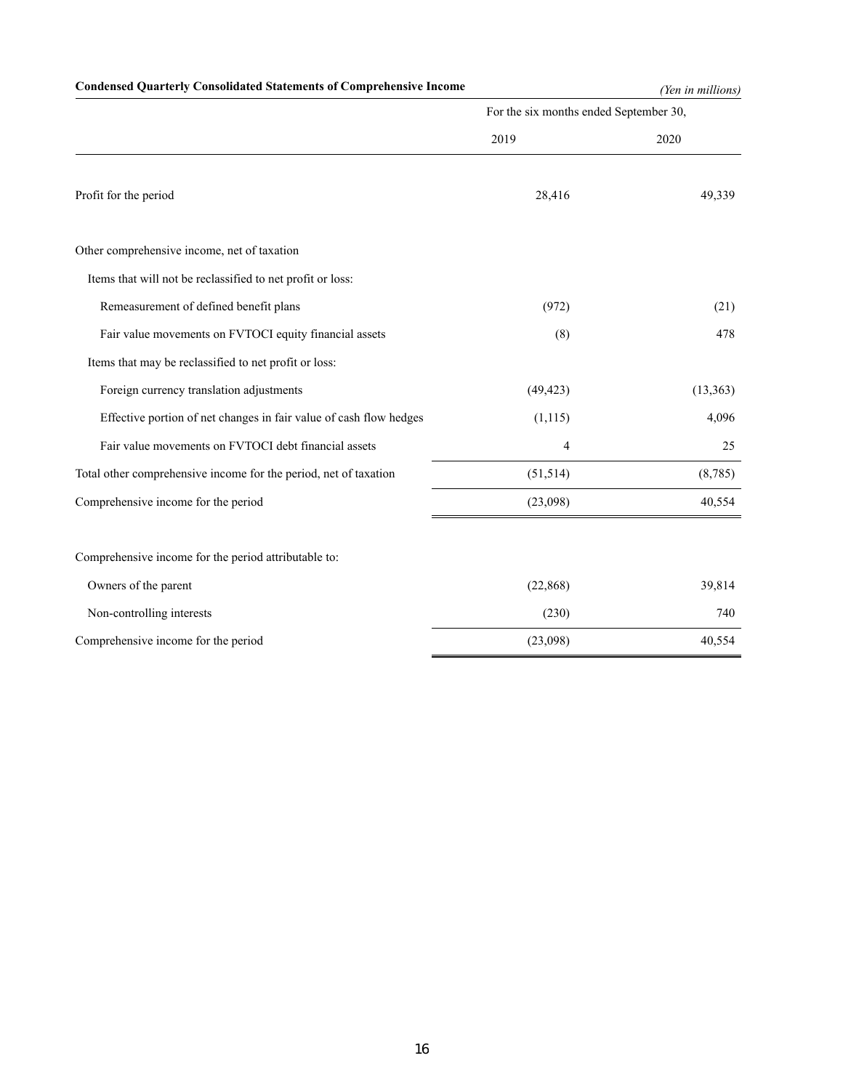# **Condensed Quarterly Consolidated Statements of Comprehensive Income** *(Yen in millions)*

|                                                                    | For the six months ended September 30, |           |  |  |
|--------------------------------------------------------------------|----------------------------------------|-----------|--|--|
|                                                                    | 2019                                   | 2020      |  |  |
| Profit for the period                                              | 28,416                                 | 49,339    |  |  |
| Other comprehensive income, net of taxation                        |                                        |           |  |  |
| Items that will not be reclassified to net profit or loss:         |                                        |           |  |  |
| Remeasurement of defined benefit plans                             | (972)                                  | (21)      |  |  |
| Fair value movements on FVTOCI equity financial assets             | (8)                                    | 478       |  |  |
| Items that may be reclassified to net profit or loss:              |                                        |           |  |  |
| Foreign currency translation adjustments                           | (49, 423)                              | (13, 363) |  |  |
| Effective portion of net changes in fair value of cash flow hedges | (1, 115)                               | 4,096     |  |  |
| Fair value movements on FVTOCI debt financial assets               | 4                                      | 25        |  |  |
| Total other comprehensive income for the period, net of taxation   | (51, 514)                              | (8,785)   |  |  |
| Comprehensive income for the period                                | (23,098)                               | 40,554    |  |  |
| Comprehensive income for the period attributable to:               |                                        |           |  |  |
| Owners of the parent                                               | (22, 868)                              | 39,814    |  |  |
| Non-controlling interests                                          | (230)                                  | 740       |  |  |
| Comprehensive income for the period                                | (23,098)                               | 40,554    |  |  |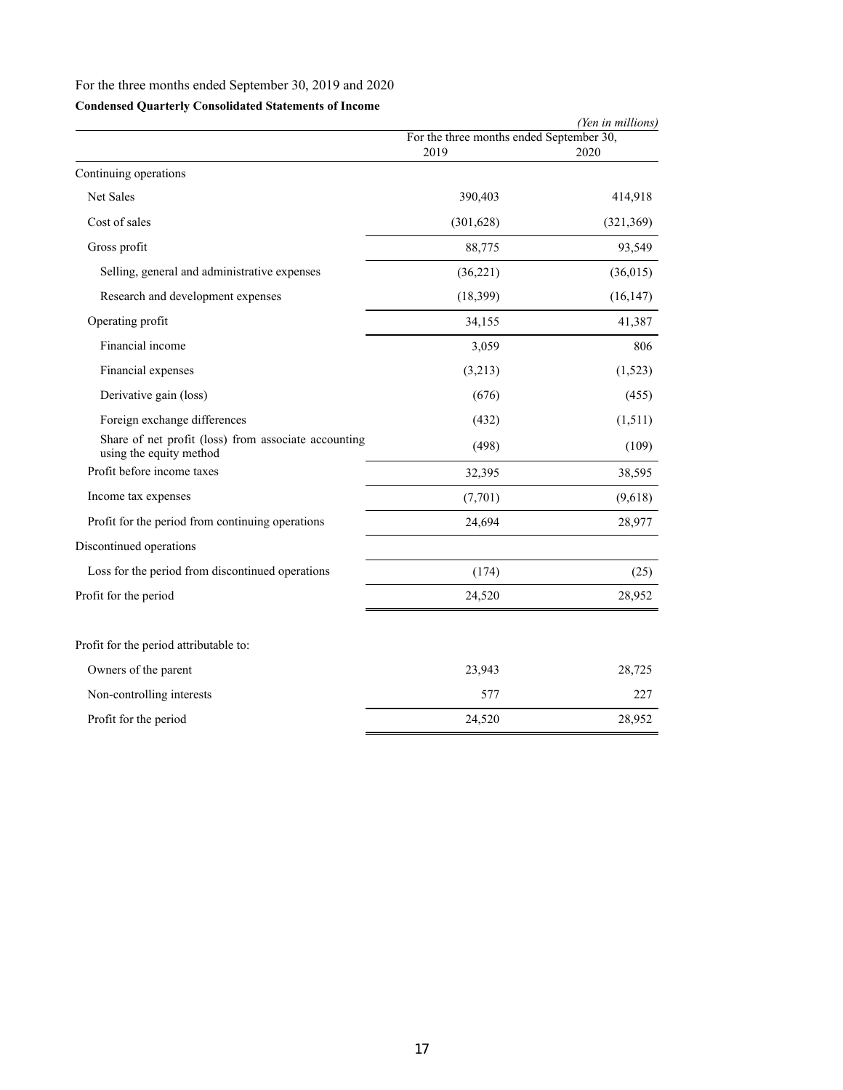# For the three months ended September 30, 2019 and 2020

# **Condensed Quarterly Consolidated Statements of Income**

|                                                                                 |                                                  | (Yen in millions) |
|---------------------------------------------------------------------------------|--------------------------------------------------|-------------------|
|                                                                                 | For the three months ended September 30,<br>2019 | 2020              |
| Continuing operations                                                           |                                                  |                   |
| Net Sales                                                                       | 390,403                                          | 414,918           |
| Cost of sales                                                                   | (301, 628)                                       | (321, 369)        |
| Gross profit                                                                    | 88,775                                           | 93,549            |
| Selling, general and administrative expenses                                    | (36,221)                                         | (36,015)          |
| Research and development expenses                                               | (18, 399)                                        | (16, 147)         |
| Operating profit                                                                | 34,155                                           | 41,387            |
| Financial income                                                                | 3,059                                            | 806               |
| Financial expenses                                                              | (3,213)                                          | (1,523)           |
| Derivative gain (loss)                                                          | (676)                                            | (455)             |
| Foreign exchange differences                                                    | (432)                                            | (1,511)           |
| Share of net profit (loss) from associate accounting<br>using the equity method | (498)                                            | (109)             |
| Profit before income taxes                                                      | 32,395                                           | 38,595            |
| Income tax expenses                                                             | (7,701)                                          | (9,618)           |
| Profit for the period from continuing operations                                | 24,694                                           | 28,977            |
| Discontinued operations                                                         |                                                  |                   |
| Loss for the period from discontinued operations                                | (174)                                            | (25)              |
| Profit for the period                                                           | 24,520                                           | 28,952            |
| Profit for the period attributable to:                                          |                                                  |                   |
| Owners of the parent                                                            | 23,943                                           | 28,725            |
| Non-controlling interests                                                       | 577                                              | 227               |
| Profit for the period                                                           | 24,520                                           | 28,952            |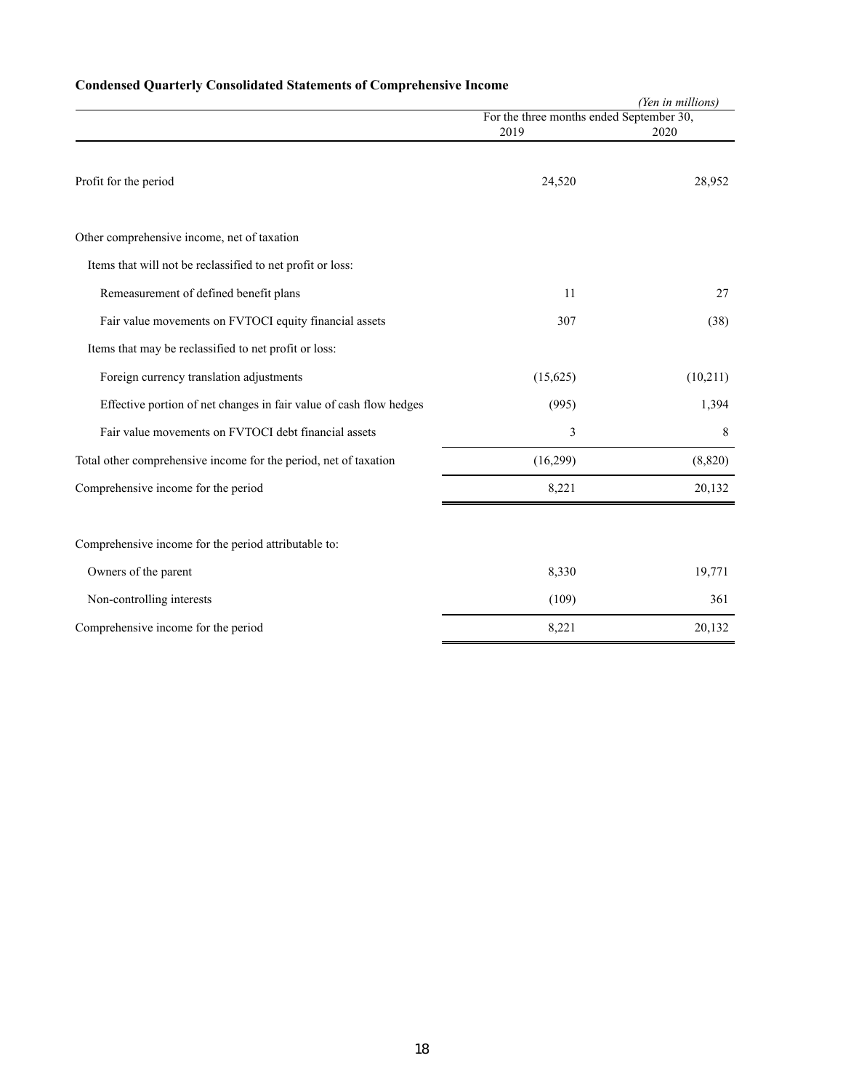|                                                                    |                                          | (Yen in millions) |  |
|--------------------------------------------------------------------|------------------------------------------|-------------------|--|
|                                                                    | For the three months ended September 30, |                   |  |
|                                                                    | 2019                                     | 2020              |  |
| Profit for the period                                              | 24,520                                   | 28,952            |  |
| Other comprehensive income, net of taxation                        |                                          |                   |  |
| Items that will not be reclassified to net profit or loss:         |                                          |                   |  |
| Remeasurement of defined benefit plans                             | 11                                       | 27                |  |
| Fair value movements on FVTOCI equity financial assets             | 307                                      | (38)              |  |
| Items that may be reclassified to net profit or loss:              |                                          |                   |  |
| Foreign currency translation adjustments                           | (15,625)                                 | (10,211)          |  |
| Effective portion of net changes in fair value of cash flow hedges | (995)                                    | 1,394             |  |
| Fair value movements on FVTOCI debt financial assets               | 3                                        | 8                 |  |
| Total other comprehensive income for the period, net of taxation   | (16,299)                                 | (8, 820)          |  |
| Comprehensive income for the period                                | 8,221                                    | 20,132            |  |
|                                                                    |                                          |                   |  |
| Comprehensive income for the period attributable to:               |                                          |                   |  |
| Owners of the parent                                               | 8,330                                    | 19,771            |  |
| Non-controlling interests                                          | (109)                                    | 361               |  |
| Comprehensive income for the period                                | 8,221                                    | 20,132            |  |
|                                                                    |                                          |                   |  |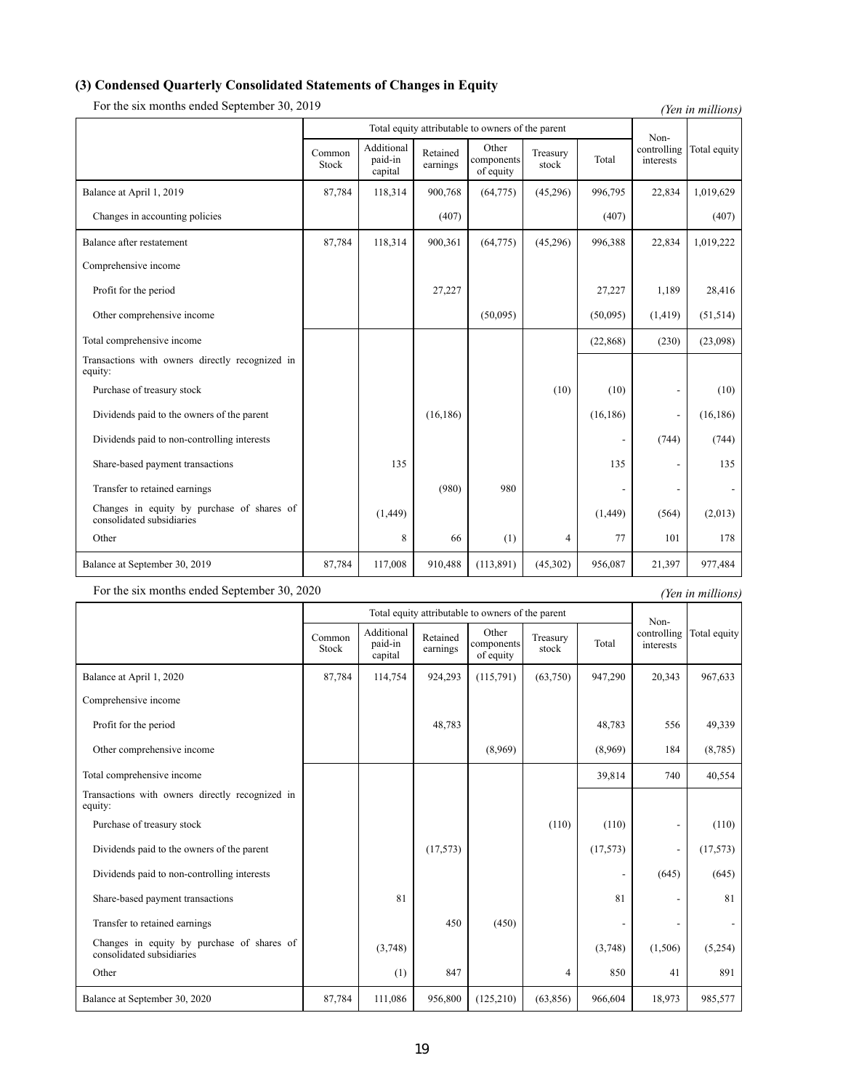### **(3) Condensed Quarterly Consolidated Statements of Changes in Equity**

For the six months ended September 30, 2019 *(Yen in millions)* 

Total equity attributable to owners of the parent Noncontrolling interests  $\text{Common}$  Additional Retained Other Treasury  $\text{Transu}$  controlling Total equity Stock Additional paid-in capital Retained earnings Other components of equity Treasury reasury Total Balance at April 1, 2019 87,784 118,314 900,768 (64,775) (45,296) 996,795 22,834 1,019,629 Changes in accounting policies (407) (407) (407) (407) (407) (407) Balance after restatement 87,784 118,314 900,361 (64,775) (45,296) 996,388 22,834 1,019,222 Comprehensive income Profit for the period 27,227 27,227 27,227 1,189 28,416 Other comprehensive income (50,095) (50,095) (1,419) (51,514) Total comprehensive income (23,098) (23,098) (23,098) (23,098) Transactions with owners directly recognized in equity: Purchase of treasury stock  $(10)$   $(10)$   $(10)$   $(10)$   $(10)$   $(10)$   $(10)$   $(10)$   $(10)$   $(10)$ Dividends paid to the owners of the parent (16,186) (16,186) (16,186) (16,186) - (16,186) Dividends paid to non-controlling interests  $(744)$  (744) (744) Share-based payment transactions 135 135 - 135 Transfer to retained earnings and the set of the set of the set of the set of the set of the set of the set of the set of the set of the set of the set of the set of the set of the set of the set of the set of the set of t Changes in equity by purchase of shares of Changes in equity by purchase of shares of  $(1,449)$  (1,449) (1,449) (1,449) (564) (2,013) Other 178 101 178 Balance at September 30, 2019 87,784 87,784 117,008 910,488 (113,891) (45,302) 956,087 21,397 977,484

For the six months ended September 30, 2020 *(Yen in millions) (Yen in millions)* 

|                                                                         | Total equity attributable to owners of the parent |                                  |                      |                                  |                   |          | Non-                     |              |
|-------------------------------------------------------------------------|---------------------------------------------------|----------------------------------|----------------------|----------------------------------|-------------------|----------|--------------------------|--------------|
|                                                                         | Common<br>Stock                                   | Additional<br>paid-in<br>capital | Retained<br>earnings | Other<br>components<br>of equity | Treasury<br>stock | Total    | controlling<br>interests | Total equity |
| Balance at April 1, 2020                                                | 87,784                                            | 114,754                          | 924,293              | (115,791)                        | (63,750)          | 947,290  | 20,343                   | 967,633      |
| Comprehensive income                                                    |                                                   |                                  |                      |                                  |                   |          |                          |              |
| Profit for the period                                                   |                                                   |                                  | 48,783               |                                  |                   | 48,783   | 556                      | 49,339       |
| Other comprehensive income                                              |                                                   |                                  |                      | (8,969)                          |                   | (8,969)  | 184                      | (8,785)      |
| Total comprehensive income                                              |                                                   |                                  |                      |                                  |                   | 39,814   | 740                      | 40,554       |
| Transactions with owners directly recognized in<br>equity:              |                                                   |                                  |                      |                                  |                   |          |                          |              |
| Purchase of treasury stock                                              |                                                   |                                  |                      |                                  | (110)             | (110)    | $\overline{a}$           | (110)        |
| Dividends paid to the owners of the parent                              |                                                   |                                  | (17, 573)            |                                  |                   | (17,573) |                          | (17, 573)    |
| Dividends paid to non-controlling interests                             |                                                   |                                  |                      |                                  |                   |          | (645)                    | (645)        |
| Share-based payment transactions                                        |                                                   | 81                               |                      |                                  |                   | 81       | $\overline{a}$           | 81           |
| Transfer to retained earnings                                           |                                                   |                                  | 450                  | (450)                            |                   |          |                          |              |
| Changes in equity by purchase of shares of<br>consolidated subsidiaries |                                                   | (3,748)                          |                      |                                  |                   | (3,748)  | (1,506)                  | (5,254)      |
| Other                                                                   |                                                   | (1)                              | 847                  |                                  | 4                 | 850      | 41                       | 891          |
| Balance at September 30, 2020                                           | 87,784                                            | 111,086                          | 956,800              | (125,210)                        | (63, 856)         | 966,604  | 18,973                   | 985,577      |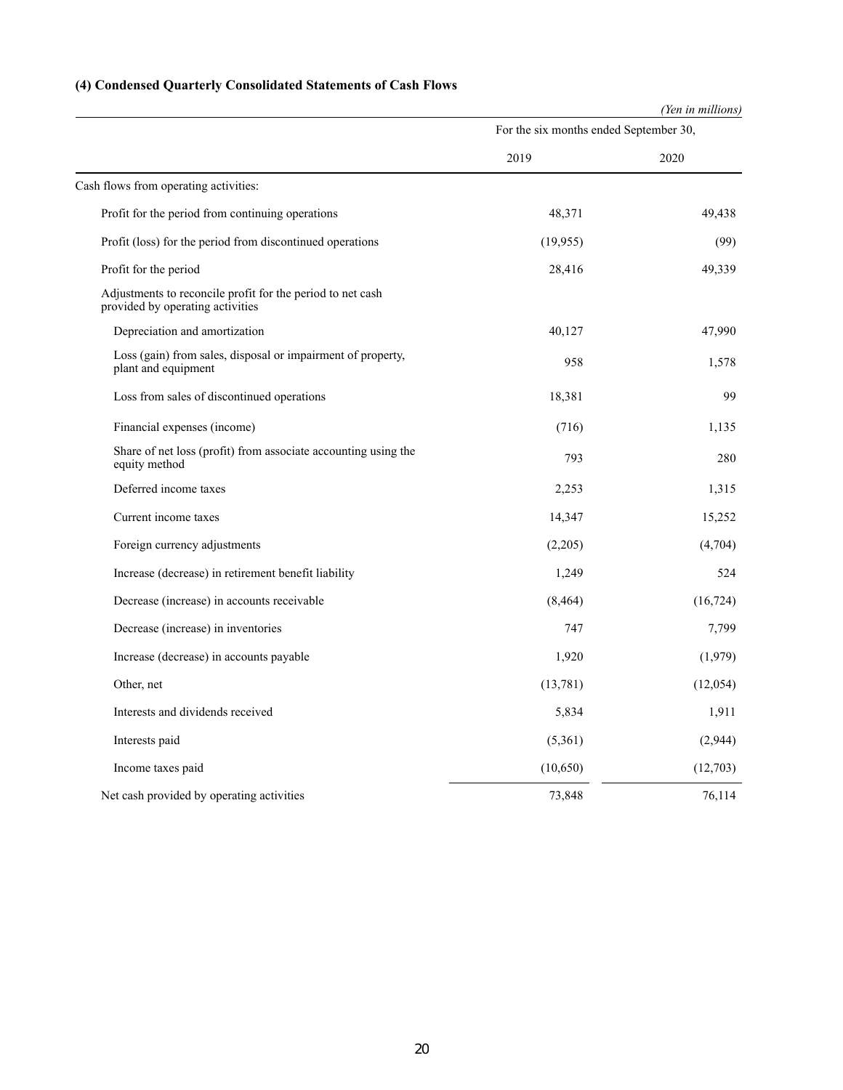# **(4) Condensed Quarterly Consolidated Statements of Cash Flows**

|                                                                                                |                                        | (Yen in millions) |  |
|------------------------------------------------------------------------------------------------|----------------------------------------|-------------------|--|
|                                                                                                | For the six months ended September 30, |                   |  |
|                                                                                                | 2019                                   | 2020              |  |
| Cash flows from operating activities:                                                          |                                        |                   |  |
| Profit for the period from continuing operations                                               | 48,371                                 | 49,438            |  |
| Profit (loss) for the period from discontinued operations                                      | (19, 955)                              | (99)              |  |
| Profit for the period                                                                          | 28,416                                 | 49,339            |  |
| Adjustments to reconcile profit for the period to net cash<br>provided by operating activities |                                        |                   |  |
| Depreciation and amortization                                                                  | 40,127                                 | 47,990            |  |
| Loss (gain) from sales, disposal or impairment of property,<br>plant and equipment             | 958                                    | 1,578             |  |
| Loss from sales of discontinued operations                                                     | 18,381                                 | 99                |  |
| Financial expenses (income)                                                                    | (716)                                  | 1,135             |  |
| Share of net loss (profit) from associate accounting using the<br>equity method                | 793                                    | 280               |  |
| Deferred income taxes                                                                          | 2,253                                  | 1,315             |  |
| Current income taxes                                                                           | 14,347                                 | 15,252            |  |
| Foreign currency adjustments                                                                   | (2,205)                                | (4,704)           |  |
| Increase (decrease) in retirement benefit liability                                            | 1,249                                  | 524               |  |
| Decrease (increase) in accounts receivable                                                     | (8, 464)                               | (16, 724)         |  |
| Decrease (increase) in inventories                                                             | 747                                    | 7,799             |  |
| Increase (decrease) in accounts payable                                                        | 1,920                                  | (1,979)           |  |
| Other, net                                                                                     | (13,781)                               | (12,054)          |  |
| Interests and dividends received                                                               | 5,834                                  | 1,911             |  |
| Interests paid                                                                                 | (5,361)                                | (2,944)           |  |
| Income taxes paid                                                                              | (10,650)                               | (12,703)          |  |
| Net cash provided by operating activities                                                      | 73,848                                 | 76,114            |  |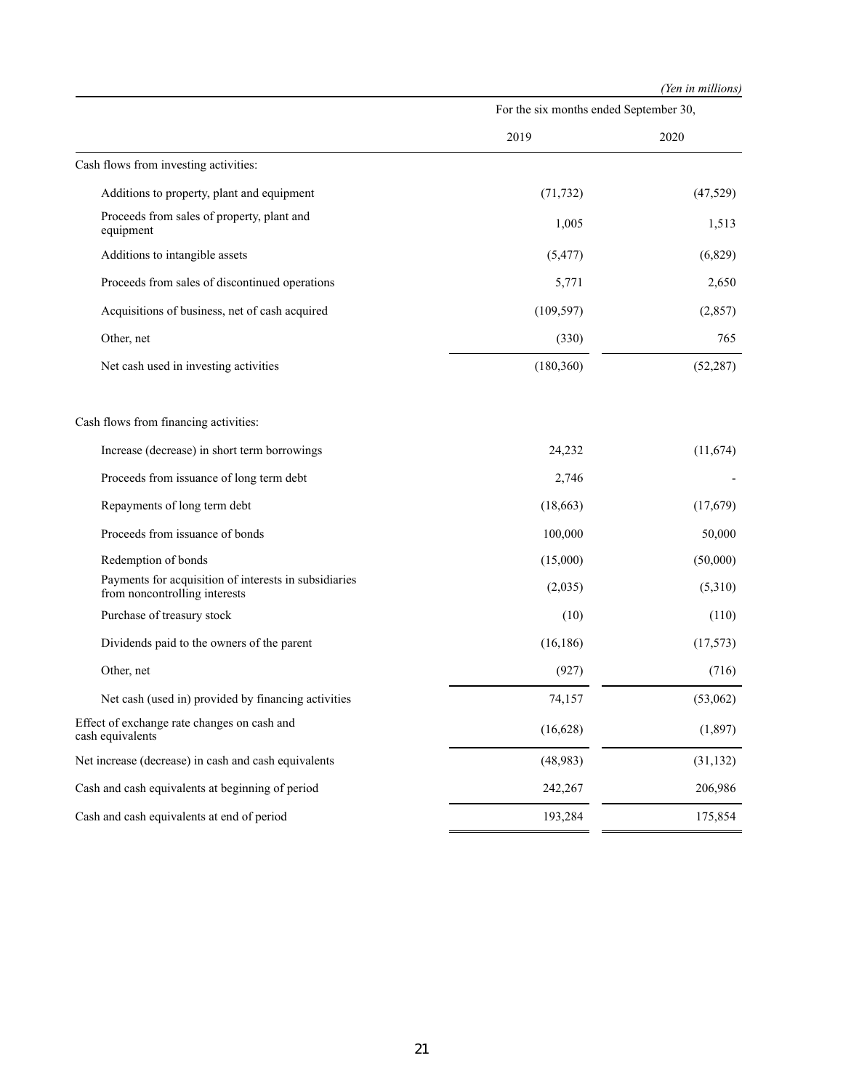*(Yen in millions)*

|                                                                                        | For the six months ended September 30, |           |  |  |
|----------------------------------------------------------------------------------------|----------------------------------------|-----------|--|--|
|                                                                                        | 2019                                   | 2020      |  |  |
| Cash flows from investing activities:                                                  |                                        |           |  |  |
| Additions to property, plant and equipment                                             | (71, 732)                              | (47,529)  |  |  |
| Proceeds from sales of property, plant and<br>equipment                                | 1,005                                  | 1,513     |  |  |
| Additions to intangible assets                                                         | (5, 477)                               | (6,829)   |  |  |
| Proceeds from sales of discontinued operations                                         | 5,771                                  | 2,650     |  |  |
| Acquisitions of business, net of cash acquired                                         | (109, 597)                             | (2,857)   |  |  |
| Other, net                                                                             | (330)                                  | 765       |  |  |
| Net cash used in investing activities                                                  | (180, 360)                             | (52, 287) |  |  |
| Cash flows from financing activities:                                                  |                                        |           |  |  |
| Increase (decrease) in short term borrowings                                           | 24,232                                 | (11, 674) |  |  |
| Proceeds from issuance of long term debt                                               | 2,746                                  |           |  |  |
| Repayments of long term debt                                                           | (18,663)                               | (17,679)  |  |  |
| Proceeds from issuance of bonds                                                        | 100,000                                | 50,000    |  |  |
| Redemption of bonds                                                                    | (15,000)                               | (50,000)  |  |  |
| Payments for acquisition of interests in subsidiaries<br>from noncontrolling interests | (2,035)                                | (5,310)   |  |  |
| Purchase of treasury stock                                                             | (10)                                   | (110)     |  |  |
| Dividends paid to the owners of the parent                                             | (16, 186)                              | (17,573)  |  |  |
| Other, net                                                                             | (927)                                  | (716)     |  |  |
| Net cash (used in) provided by financing activities                                    | 74,157                                 | (53,062)  |  |  |
| Effect of exchange rate changes on cash and<br>cash equivalents                        | (16, 628)                              | (1, 897)  |  |  |
| Net increase (decrease) in cash and cash equivalents                                   | (48,983)                               | (31, 132) |  |  |
| Cash and cash equivalents at beginning of period                                       | 242,267                                | 206,986   |  |  |
| Cash and cash equivalents at end of period                                             | 193,284                                | 175,854   |  |  |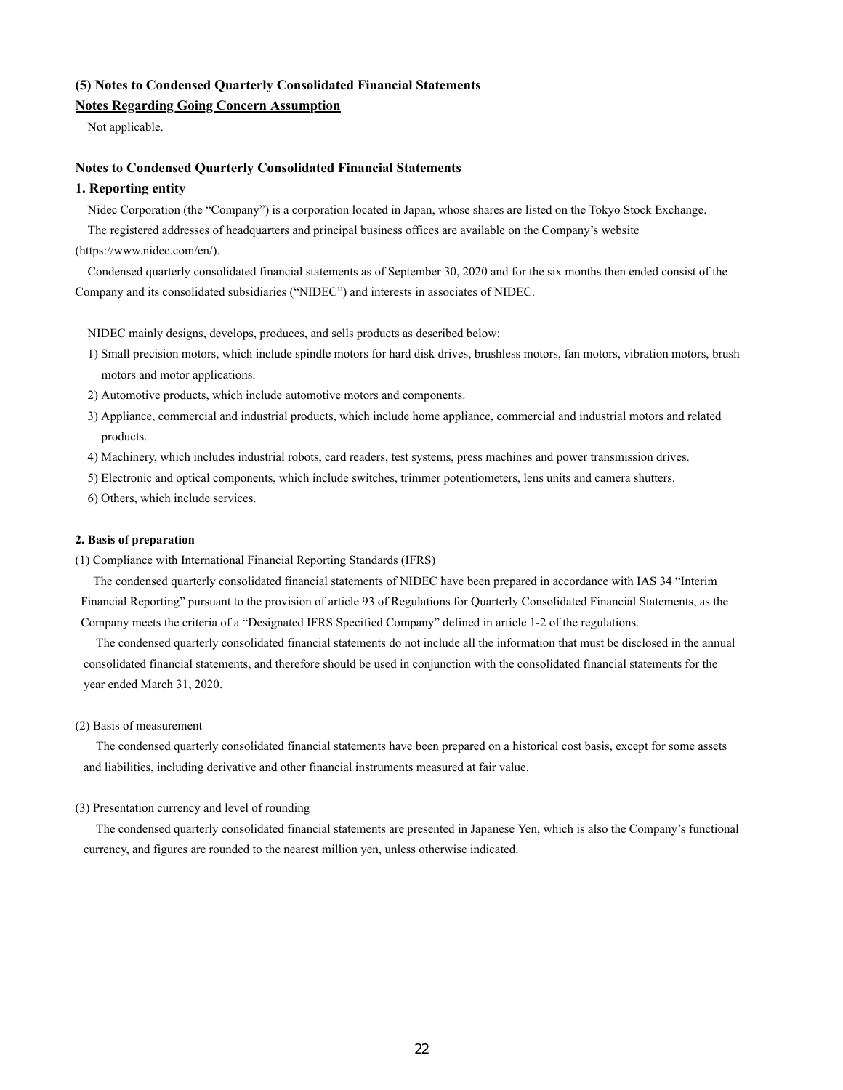## **(5) Notes to Condensed Quarterly Consolidated Financial Statements**

# **Notes Regarding Going Concern Assumption**

Not applicable.

### **Notes to Condensed Quarterly Consolidated Financial Statements**

### **1. Reporting entity**

Nidec Corporation (the "Company") is a corporation located in Japan, whose shares are listed on the Tokyo Stock Exchange.

The registered addresses of headquarters and principal business offices are available on the Company's website

(https://www.nidec.com/en/).

Condensed quarterly consolidated financial statements as of September 30, 2020 and for the six months then ended consist of the Company and its consolidated subsidiaries ("NIDEC") and interests in associates of NIDEC.

NIDEC mainly designs, develops, produces, and sells products as described below:

- 1) Small precision motors, which include spindle motors for hard disk drives, brushless motors, fan motors, vibration motors, brush motors and motor applications.
- 2) Automotive products, which include automotive motors and components.
- 3) Appliance, commercial and industrial products, which include home appliance, commercial and industrial motors and related products.
- 4) Machinery, which includes industrial robots, card readers, test systems, press machines and power transmission drives.
- 5) Electronic and optical components, which include switches, trimmer potentiometers, lens units and camera shutters.
- 6) Others, which include services.

### **2. Basis of preparation**

(1) Compliance with International Financial Reporting Standards (IFRS)

The condensed quarterly consolidated financial statements of NIDEC have been prepared in accordance with IAS 34 "Interim Financial Reporting" pursuant to the provision of article 93 of Regulations for Quarterly Consolidated Financial Statements, as the Company meets the criteria of a "Designated IFRS Specified Company" defined in article 1-2 of the regulations.

The condensed quarterly consolidated financial statements do not include all the information that must be disclosed in the annual consolidated financial statements, and therefore should be used in conjunction with the consolidated financial statements for the year ended March 31, 2020.

### (2) Basis of measurement

The condensed quarterly consolidated financial statements have been prepared on a historical cost basis, except for some assets and liabilities, including derivative and other financial instruments measured at fair value.

### (3) Presentation currency and level of rounding

The condensed quarterly consolidated financial statements are presented in Japanese Yen, which is also the Company's functional currency, and figures are rounded to the nearest million yen, unless otherwise indicated.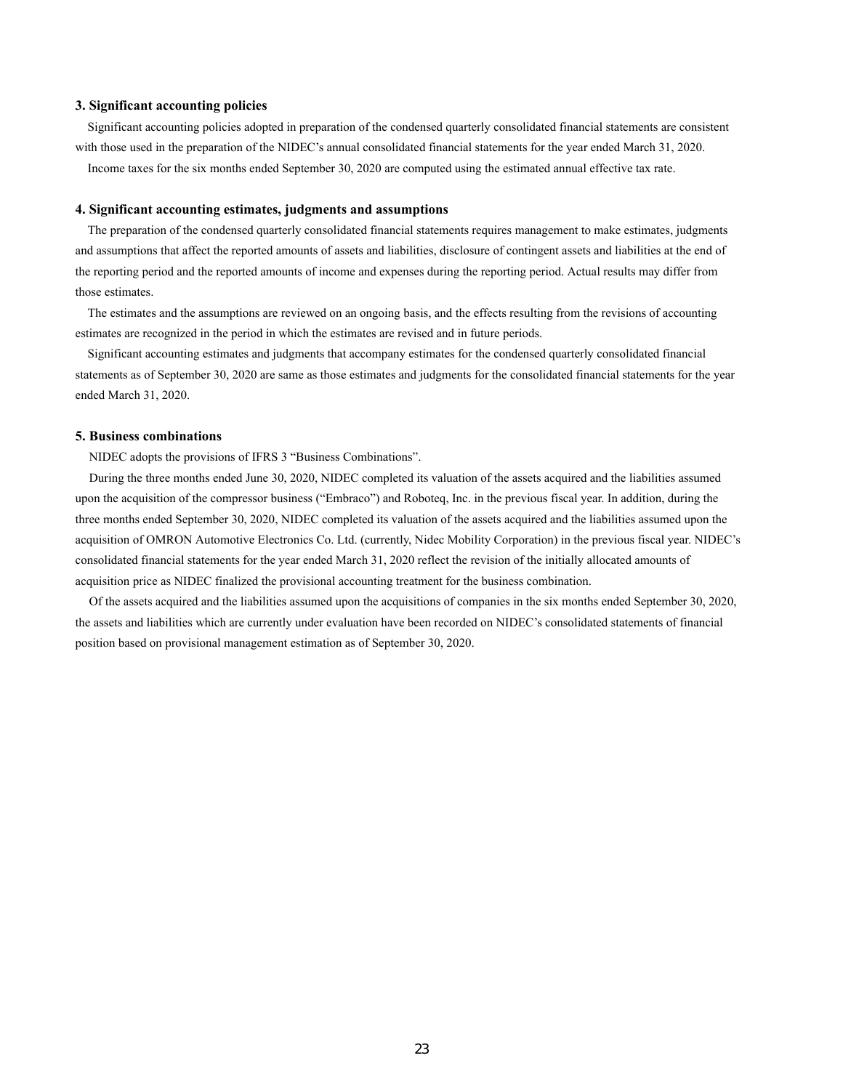### **3. Significant accounting policies**

Significant accounting policies adopted in preparation of the condensed quarterly consolidated financial statements are consistent with those used in the preparation of the NIDEC's annual consolidated financial statements for the year ended March 31, 2020. Income taxes for the six months ended September 30, 2020 are computed using the estimated annual effective tax rate.

### **4. Significant accounting estimates, judgments and assumptions**

The preparation of the condensed quarterly consolidated financial statements requires management to make estimates, judgments and assumptions that affect the reported amounts of assets and liabilities, disclosure of contingent assets and liabilities at the end of the reporting period and the reported amounts of income and expenses during the reporting period. Actual results may differ from those estimates.

The estimates and the assumptions are reviewed on an ongoing basis, and the effects resulting from the revisions of accounting estimates are recognized in the period in which the estimates are revised and in future periods.

Significant accounting estimates and judgments that accompany estimates for the condensed quarterly consolidated financial statements as of September 30, 2020 are same as those estimates and judgments for the consolidated financial statements for the year ended March 31, 2020.

### **5. Business combinations**

NIDEC adopts the provisions of IFRS 3 "Business Combinations".

During the three months ended June 30, 2020, NIDEC completed its valuation of the assets acquired and the liabilities assumed upon the acquisition of the compressor business ("Embraco") and Roboteq, Inc. in the previous fiscal year. In addition, during the three months ended September 30, 2020, NIDEC completed its valuation of the assets acquired and the liabilities assumed upon the acquisition of OMRON Automotive Electronics Co. Ltd. (currently, Nidec Mobility Corporation) in the previous fiscal year. NIDEC's consolidated financial statements for the year ended March 31, 2020 reflect the revision of the initially allocated amounts of acquisition price as NIDEC finalized the provisional accounting treatment for the business combination.

Of the assets acquired and the liabilities assumed upon the acquisitions of companies in the six months ended September 30, 2020, the assets and liabilities which are currently under evaluation have been recorded on NIDEC's consolidated statements of financial position based on provisional management estimation as of September 30, 2020.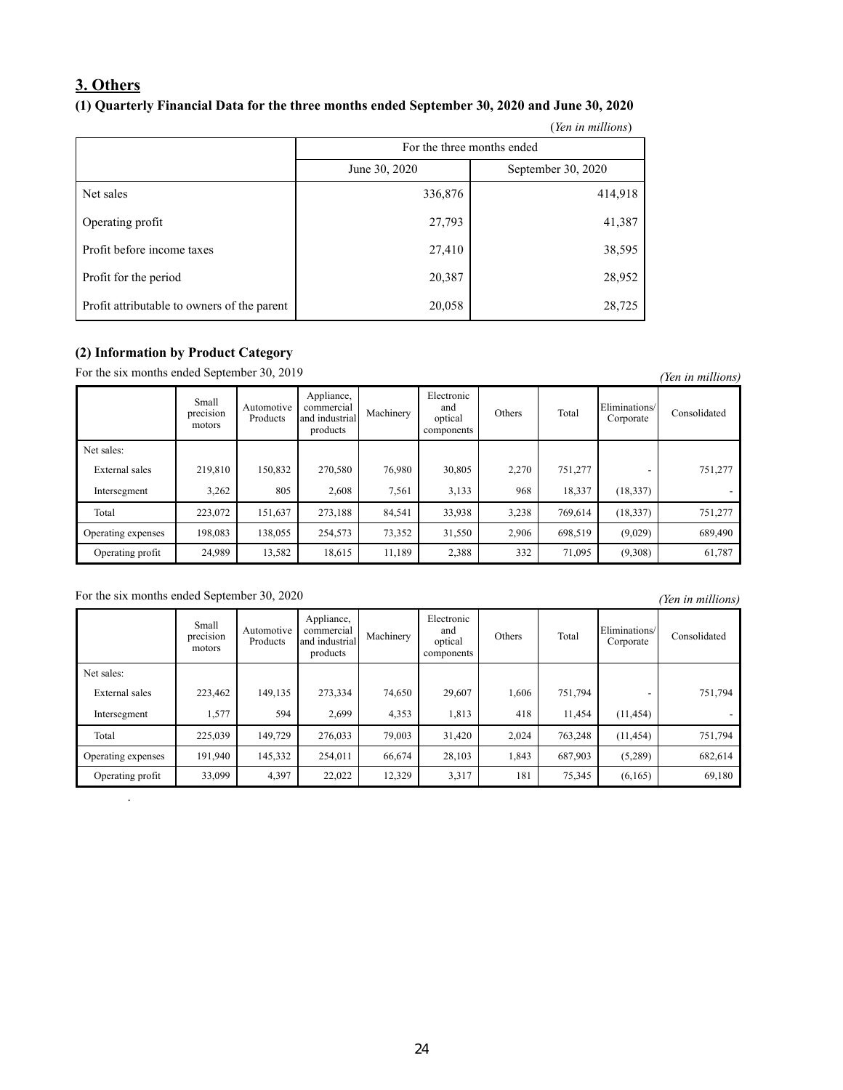# **3. Others (1) Quarterly Financial Data for the three months ended September 30, 2020 and June 30, 2020**

|                                             |                            | (Yen in millions)  |  |  |  |  |
|---------------------------------------------|----------------------------|--------------------|--|--|--|--|
|                                             | For the three months ended |                    |  |  |  |  |
|                                             | June 30, 2020              | September 30, 2020 |  |  |  |  |
| Net sales                                   | 336,876                    | 414,918            |  |  |  |  |
| Operating profit                            | 27,793                     | 41,387             |  |  |  |  |
| Profit before income taxes                  | 27,410                     | 38,595             |  |  |  |  |
| Profit for the period                       | 20,387                     | 28,952             |  |  |  |  |
| Profit attributable to owners of the parent | 20,058                     | 28,725             |  |  |  |  |

# **(2) Information by Product Category**

For the six months ended September 30, 2019 *(Yen in millions)* 

|                    | Small<br>$\cdot$ $\cdot$<br>precision<br>motors | Automotive<br>Products | Appliance,<br>commercial<br>and industrial<br>products | Machinery | Electronic<br>and<br>optical<br>components | Others | Total   | Eliminations/<br>Corporate | Consolidated |
|--------------------|-------------------------------------------------|------------------------|--------------------------------------------------------|-----------|--------------------------------------------|--------|---------|----------------------------|--------------|
| Net sales:         |                                                 |                        |                                                        |           |                                            |        |         |                            |              |
| External sales     | 219,810                                         | 150,832                | 270,580                                                | 76,980    | 30,805                                     | 2,270  | 751,277 | -                          | 751,277      |
| Intersegment       | 3,262                                           | 805                    | 2,608                                                  | 7,561     | 3,133                                      | 968    | 18,337  | (18, 337)                  |              |
| Total              | 223,072                                         | 151,637                | 273,188                                                | 84,541    | 33,938                                     | 3,238  | 769.614 | (18, 337)                  | 751,277      |
| Operating expenses | 198,083                                         | 138,055                | 254,573                                                | 73,352    | 31,550                                     | 2,906  | 698,519 | (9,029)                    | 689,490      |
| Operating profit   | 24,989                                          | 13,582                 | 18,615                                                 | 11,189    | 2,388                                      | 332    | 71,095  | (9,308)                    | 61,787       |

# For the six months ended September 30, 2020 *(Yen in millions)*

.

|                    |                              |                        |                                                        |           |                                            |        |         |                            | ICH HE HELLOID, |
|--------------------|------------------------------|------------------------|--------------------------------------------------------|-----------|--------------------------------------------|--------|---------|----------------------------|-----------------|
|                    | Small<br>precision<br>motors | Automotive<br>Products | Appliance,<br>commercial<br>and industrial<br>products | Machinery | Electronic<br>and<br>optical<br>components | Others | Total   | Eliminations/<br>Corporate | Consolidated    |
| Net sales:         |                              |                        |                                                        |           |                                            |        |         |                            |                 |
| External sales     | 223,462                      | 149,135                | 273,334                                                | 74,650    | 29,607                                     | 1,606  | 751.794 |                            | 751,794         |
| Intersegment       | 1,577                        | 594                    | 2,699                                                  | 4,353     | 1,813                                      | 418    | 11,454  | (11, 454)                  |                 |
| Total              | 225,039                      | 149,729                | 276,033                                                | 79,003    | 31,420                                     | 2,024  | 763,248 | (11, 454)                  | 751,794         |
| Operating expenses | 191,940                      | 145,332                | 254,011                                                | 66,674    | 28,103                                     | 1,843  | 687,903 | (5,289)                    | 682,614         |
| Operating profit   | 33,099                       | 4,397                  | 22,022                                                 | 12,329    | 3,317                                      | 181    | 75,345  | (6,165)                    | 69,180          |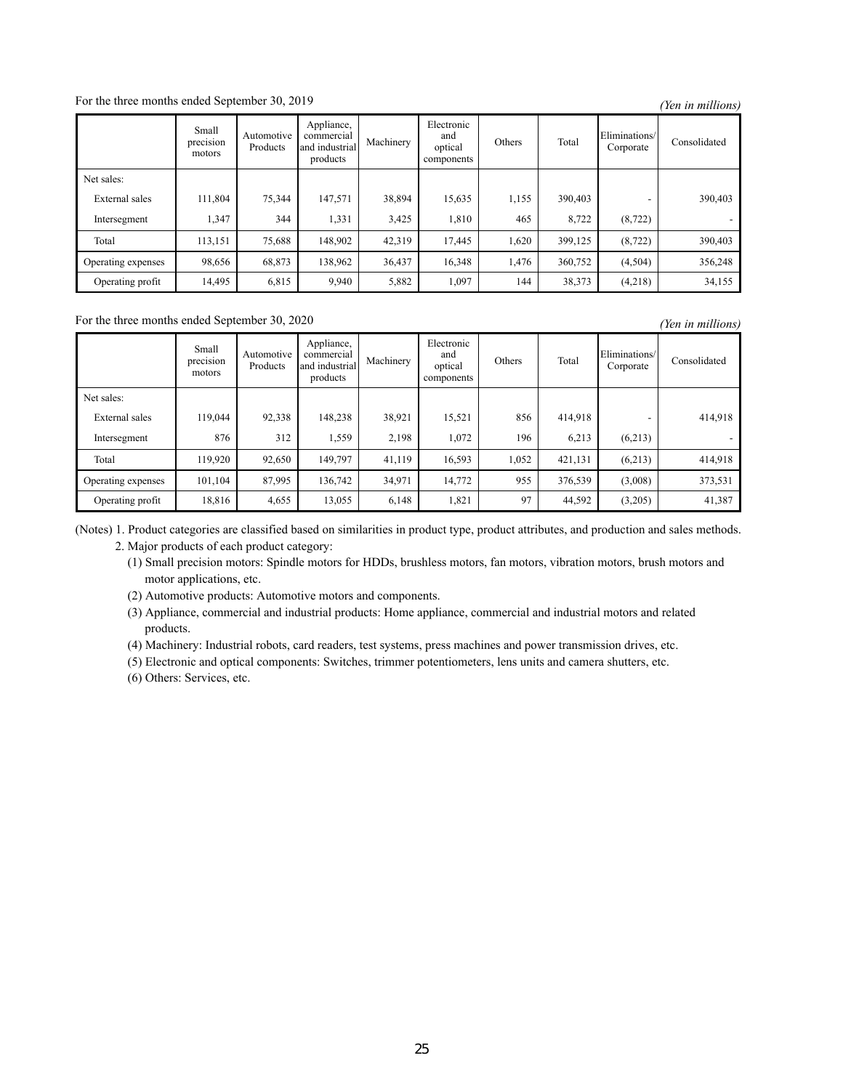For the three months ended September 30, 2019 *(Yen in millions)* 

|                    | Small<br>$\cdot$ $\cdot$<br>precision<br>motors | Automotive<br>Products | Appliance,<br>commercial<br>and industrial<br>products | Machinery | Electronic<br>and<br>optical<br>components | Others | Total   | Eliminations/<br>Corporate | Consolidated |
|--------------------|-------------------------------------------------|------------------------|--------------------------------------------------------|-----------|--------------------------------------------|--------|---------|----------------------------|--------------|
| Net sales:         |                                                 |                        |                                                        |           |                                            |        |         |                            |              |
| External sales     | 111,804                                         | 75,344                 | 147,571                                                | 38,894    | 15,635                                     | 1,155  | 390,403 | -                          | 390,403      |
| Intersegment       | 1,347                                           | 344                    | 1,331                                                  | 3,425     | 1,810                                      | 465    | 8,722   | (8, 722)                   |              |
| Total              | 113,151                                         | 75,688                 | 148,902                                                | 42,319    | 17,445                                     | 1,620  | 399,125 | (8, 722)                   | 390,403      |
| Operating expenses | 98,656                                          | 68,873                 | 138,962                                                | 36,437    | 16,348                                     | 1,476  | 360,752 | (4,504)                    | 356,248      |
| Operating profit   | 14,495                                          | 6,815                  | 9,940                                                  | 5,882     | 1,097                                      | 144    | 38,373  | (4,218)                    | 34,155       |

For the three months ended September 30, 2020 *(Yen in millions)* 

|                    | Small<br>$\cdot$ $\cdot$<br>precision<br>motors | Automotive<br>Products | Appliance,<br>commercial<br>and industrial<br>products | Machinery | Electronic<br>and<br>optical<br>components | Others | Total   | Eliminations/<br>Corporate | Consolidated |
|--------------------|-------------------------------------------------|------------------------|--------------------------------------------------------|-----------|--------------------------------------------|--------|---------|----------------------------|--------------|
| Net sales:         |                                                 |                        |                                                        |           |                                            |        |         |                            |              |
| External sales     | 119,044                                         | 92,338                 | 148.238                                                | 38,921    | 15,521                                     | 856    | 414,918 | $\overline{\phantom{a}}$   | 414,918      |
| Intersegment       | 876                                             | 312                    | 1,559                                                  | 2,198     | 1,072                                      | 196    | 6,213   | (6,213)                    |              |
| Total              | 119,920                                         | 92,650                 | 149,797                                                | 41,119    | 16,593                                     | 1,052  | 421,131 | (6,213)                    | 414,918      |
| Operating expenses | 101,104                                         | 87,995                 | 136,742                                                | 34,971    | 14,772                                     | 955    | 376,539 | (3,008)                    | 373,531      |
| Operating profit   | 18.816                                          | 4,655                  | 13,055                                                 | 6,148     | 1,821                                      | 97     | 44,592  | (3,205)                    | 41,387       |

(Notes) 1. Product categories are classified based on similarities in product type, product attributes, and production and sales methods. 2. Major products of each product category:

(1) Small precision motors: Spindle motors for HDDs, brushless motors, fan motors, vibration motors, brush motors and motor applications, etc.

(2) Automotive products: Automotive motors and components.

- (3) Appliance, commercial and industrial products: Home appliance, commercial and industrial motors and related products.
- (4) Machinery: Industrial robots, card readers, test systems, press machines and power transmission drives, etc.

(5) Electronic and optical components: Switches, trimmer potentiometers, lens units and camera shutters, etc.

(6) Others: Services, etc.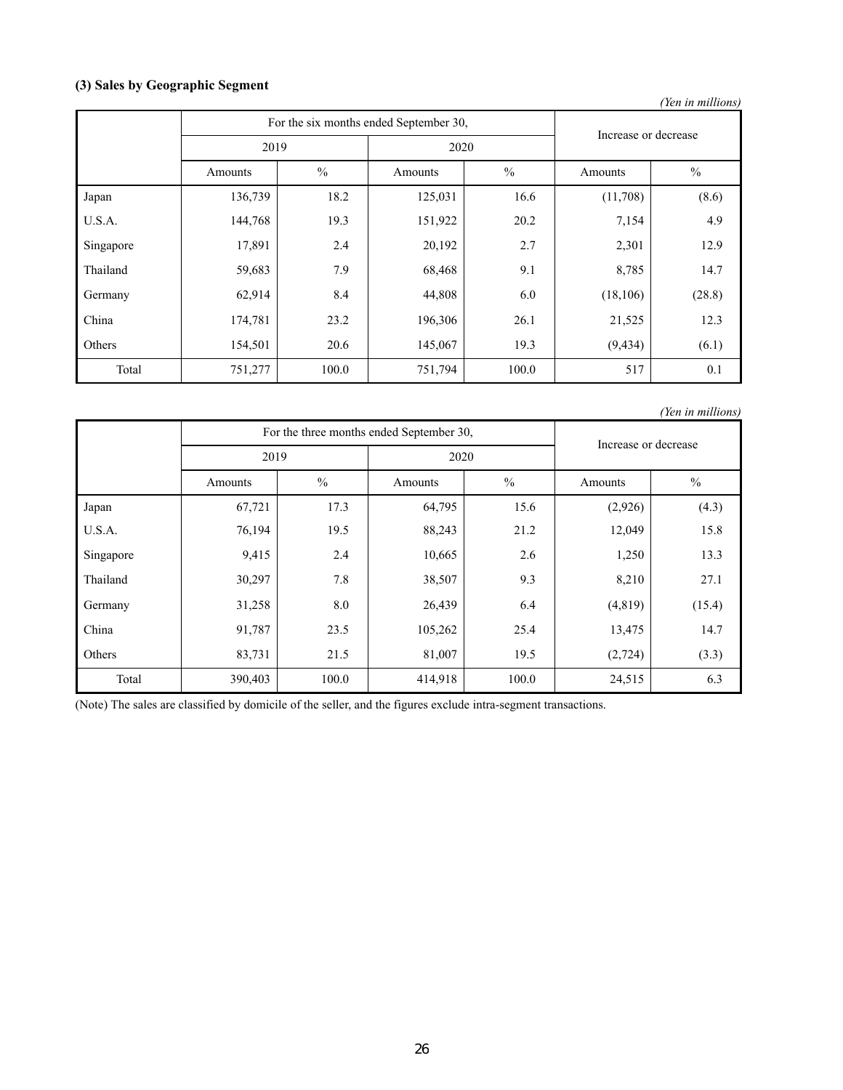# **(3) Sales by Geographic Segment**

|           |                                        |                      |         |               |           | (Yen in millions) |
|-----------|----------------------------------------|----------------------|---------|---------------|-----------|-------------------|
|           | For the six months ended September 30, | Increase or decrease |         |               |           |                   |
|           | 2019                                   |                      | 2020    |               |           |                   |
|           | Amounts                                | $\frac{0}{0}$        | Amounts | $\frac{0}{0}$ | Amounts   | $\frac{0}{0}$     |
| Japan     | 136,739                                | 18.2                 | 125,031 | 16.6          | (11,708)  | (8.6)             |
| U.S.A.    | 144,768                                | 19.3                 | 151,922 | 20.2          | 7,154     | 4.9               |
| Singapore | 17,891                                 | 2.4                  | 20,192  | 2.7           | 2,301     | 12.9              |
| Thailand  | 59,683                                 | 7.9                  | 68,468  | 9.1           | 8,785     | 14.7              |
| Germany   | 62,914                                 | 8.4                  | 44,808  | 6.0           | (18, 106) | (28.8)            |
| China     | 174,781                                | 23.2                 | 196,306 | 26.1          | 21,525    | 12.3              |
| Others    | 154,501                                | 20.6                 | 145,067 | 19.3          | (9, 434)  | (6.1)             |
| Total     | 751,277                                | 100.0                | 751,794 | 100.0         | 517       | 0.1               |

For the three months ended September 30, Increase or decrease 2019 2020 Amounts 9% Amounts 9% Amounts 9% Japan | 67,721 | 17.3 | 64,795 | 15.6 | (2,926) | (4.3) U.S.A. 76,194 19.5 88,243 21.2 12,049 15.8 Singapore | 9,415 2.4 10,665 2.6 1,250 13.3 Thailand 1 30,297 7.8 38,507 9.3 8,210 27.1 Germany 31,258 8.0 26,439 6.4 (4,819) (15.4) China 191,787 23.5 105,262 25.4 13,475 14.7 Others 1.33, 2016 19.5 (2,724) 83,731 21.5 81,007 19.5 (2,724) Total 190,403 100.0 414,918 100.0 24,515 6.3 *(Yen in millions)*

(Note) The sales are classified by domicile of the seller, and the figures exclude intra-segment transactions.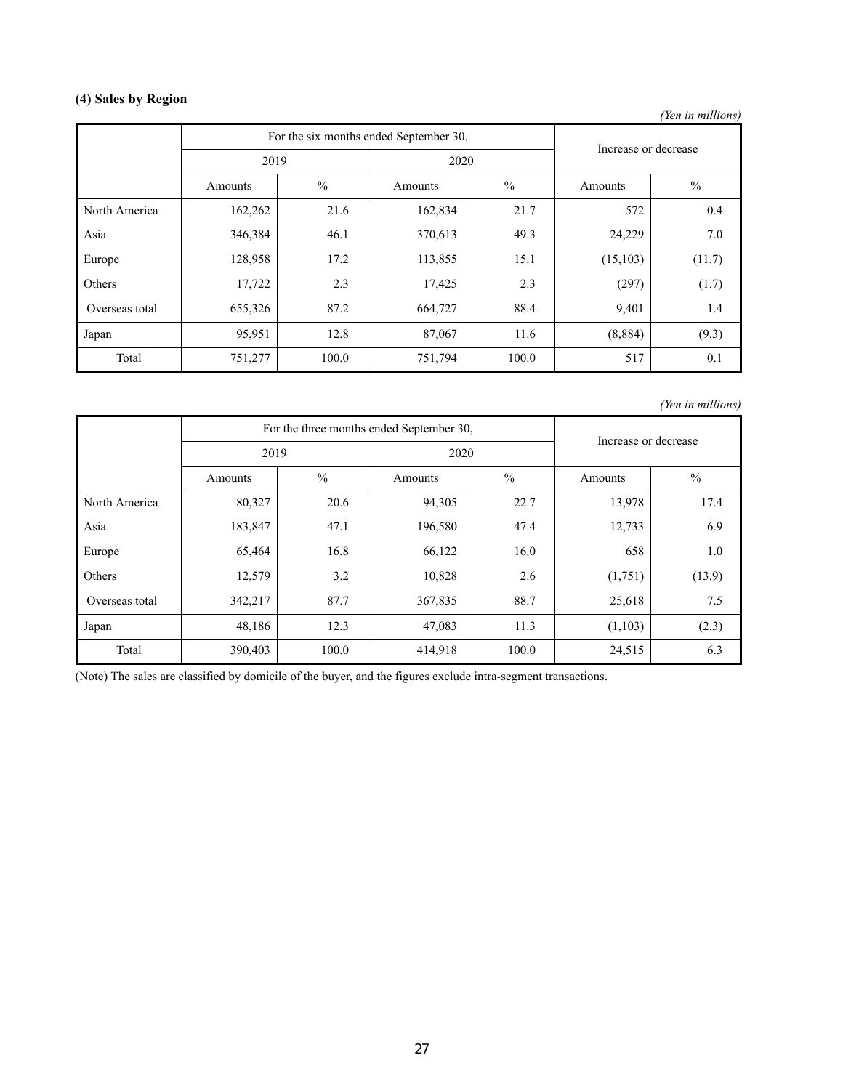# **(4) Sales by Region**

*(Yen in millions)*

|                | For the six months ended September 30, |               |         |               | Increase or decrease |               |  |
|----------------|----------------------------------------|---------------|---------|---------------|----------------------|---------------|--|
|                | 2019                                   |               | 2020    |               |                      |               |  |
|                | Amounts                                | $\frac{0}{0}$ | Amounts | $\frac{0}{0}$ | Amounts              | $\frac{0}{0}$ |  |
| North America  | 162,262                                | 21.6          | 162,834 | 21.7          | 572                  | 0.4           |  |
| Asia           | 346,384                                | 46.1          | 370,613 | 49.3          | 24,229               | 7.0           |  |
| Europe         | 128,958                                | 17.2          | 113,855 | 15.1          | (15, 103)            | (11.7)        |  |
| Others         | 17,722                                 | 2.3           | 17,425  | 2.3           | (297)                | (1.7)         |  |
| Overseas total | 655,326                                | 87.2          | 664,727 | 88.4          | 9,401                | 1.4           |  |
| Japan          | 95,951                                 | 12.8          | 87,067  | 11.6          | (8,884)              | (9.3)         |  |
| Total          | 751,277                                | 100.0         | 751,794 | 100.0         | 517                  | 0.1           |  |

*(Yen in millions)*

|                | For the three months ended September 30, |               |         |               | Increase or decrease |               |
|----------------|------------------------------------------|---------------|---------|---------------|----------------------|---------------|
|                | 2019                                     |               | 2020    |               |                      |               |
|                | Amounts                                  | $\frac{0}{0}$ | Amounts | $\frac{0}{0}$ | Amounts              | $\frac{0}{0}$ |
| North America  | 80,327                                   | 20.6          | 94,305  | 22.7          | 13,978               | 17.4          |
| Asia           | 183,847                                  | 47.1          | 196,580 | 47.4          | 12,733               | 6.9           |
| Europe         | 65,464                                   | 16.8          | 66,122  | 16.0          | 658                  | 1.0           |
| Others         | 12,579                                   | 3.2           | 10,828  | 2.6           | (1,751)              | (13.9)        |
| Overseas total | 342,217                                  | 87.7          | 367,835 | 88.7          | 25,618               | 7.5           |
| Japan          | 48,186                                   | 12.3          | 47,083  | 11.3          | (1,103)              | (2.3)         |
| Total          | 390,403                                  | 100.0         | 414,918 | 100.0         | 24,515               | 6.3           |

(Note) The sales are classified by domicile of the buyer, and the figures exclude intra-segment transactions.